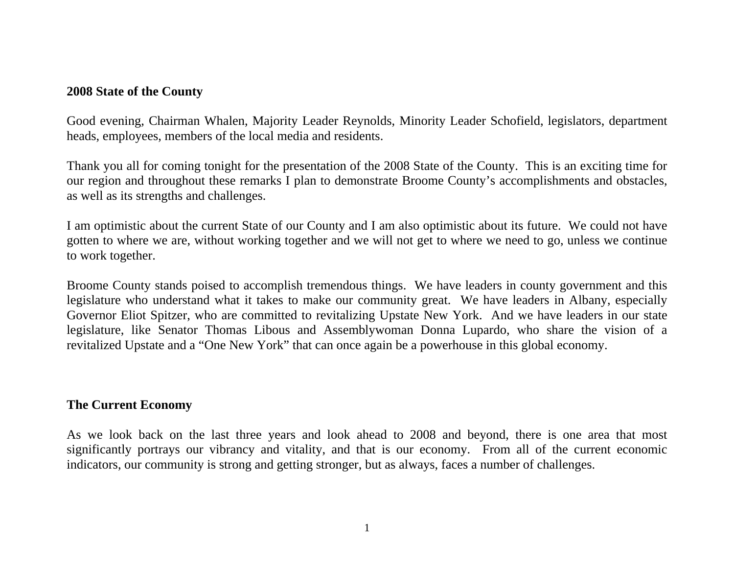## **2008 State of the County**

Good evening, Chairman Whalen, Majority Leader Reynolds, Minority Leader Schofield, legislators, department heads, employees, members of the local media and residents.

Thank you all for coming tonight for the presentation of the 2008 State of the County. This is an exciting time for our region and throughout these remarks I plan to demonstrate Broome County's accomplishments and obstacles, as well as its strengths and challenges.

I am optimistic about the current State of our County and I am also optimistic about its future. We could not have gotten to where we are, without working together and we will not get to where we need to go, unless we continue to work together.

Broome County stands poised to accomplish tremendous things. We have leaders in county government and this legislature who understand what it takes to make our community great. We have leaders in Albany, especially Governor Eliot Spitzer, who are committed to revitalizing Upstate New York. And we have leaders in our state legislature, like Senator Thomas Libous and Assemblywoman Donna Lupardo, who share the vision of a revitalized Upstate and a "One New York" that can once again be a powerhouse in this global economy.

### **The Current Economy**

As we look back on the last three years and look ahead to 2008 and beyond, there is one area that most significantly portrays our vibrancy and vitality, and that is our economy. From all of the current economic indicators, our community is strong and getting stronger, but as always, faces a number of challenges.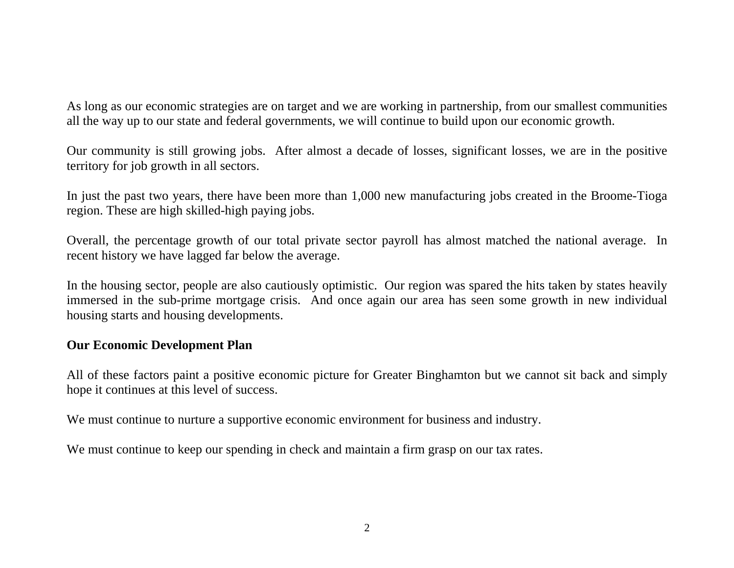As long as our economic strategies are on target and we are working in partnership, from our smallest communities all the way up to our state and federal governments, we will continue to build upon our economic growth.

Our community is still growing jobs. After almost a decade of losses, significant losses, we are in the positive territory for job growth in all sectors.

In just the past two years, there have been more than 1,000 new manufacturing jobs created in the Broome-Tioga region. These are high skilled-high paying jobs.

Overall, the percentage growth of our total private sector payroll has almost matched the national average. In recent history we have lagged far below the average.

In the housing sector, people are also cautiously optimistic. Our region was spared the hits taken by states heavily immersed in the sub-prime mortgage crisis. And once again our area has seen some growth in new individual housing starts and housing developments.

# **Our Economic Development Plan**

All of these factors paint a positive economic picture for Greater Binghamton but we cannot sit back and simply hope it continues at this level of success.

We must continue to nurture a supportive economic environment for business and industry.

We must continue to keep our spending in check and maintain a firm grasp on our tax rates.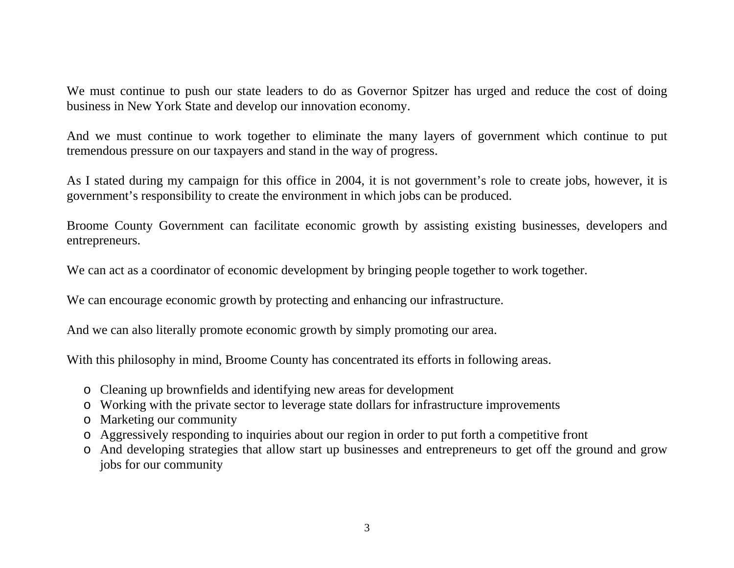We must continue to push our state leaders to do as Governor Spitzer has urged and reduce the cost of doing business in New York State and develop our innovation economy.

And we must continue to work together to eliminate the many layers of government which continue to put tremendous pressure on our taxpayers and stand in the way of progress.

As I stated during my campaign for this office in 2004, it is not government's role to create jobs, however, it is governmen<sup>t</sup>'s responsibility to create the environment in which jobs can be produced.

Broome County Government can facilitate economic growth by assisting existing businesses, developers and entrepreneurs.

We can act as a coordinator of economic development by bringing people together to work together.

We can encourage economic growth by protecting and enhancing our infrastructure.

And we can also literally promote economic growth by simply promoting our area.

With this philosophy in mind, Broome County has concentrated its efforts in following areas.

- o Cleaning up brownfields and identifying new areas for development
- o Working with the private sector to leverage state dollars for infrastructure improvements
- o Marketing our community
- o Aggressively responding to inquiries about our region in order to put forth a competitive front
- o And developing strategies that allow start up businesses and entrepreneurs to get off the ground and grow jobs for our community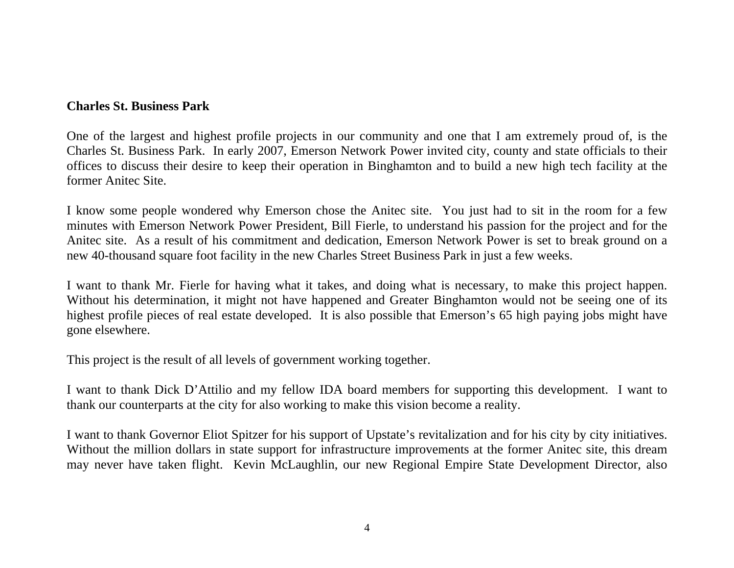## **Charles St. Business Park**

One of the largest and highest profile projects in our community and one that I am extremely proud of, is the Charles St. Business Park. In early 2007, Emerson Network Power invited city, county and state officials to their offices to discuss their desire to keep their operation in Binghamton and to build a new high tech facility at the former Anitec Site.

I know some people wondered why Emerson chose the Anitec site. You just had to sit in the room for a few minutes with Emerson Network Power President, Bill Fierle, to understand his passion for the project and for the Anitec site. As a result of his commitment and dedication, Emerson Network Power is set to break ground on a new 40-thousand square foot facility in the new Charles Street Business Park in just a few weeks.

I want to thank Mr. Fierle for having what it takes, and doing what is necessary, to make this project happen. Without his determination, it might not have happened and Greater Binghamton would not be seeing one of its highest profile pieces of real estate developed. It is also possible that Emerson's 65 high paying jobs might have gone elsewhere.

This project is the result of all levels of government working together.

I want to thank Dick D'Attilio and my fellow IDA board members for supporting this development. I want to thank our counterparts at the city for also working to make this vision become a reality.

I want to thank Governor Eliot Spitzer for his support of Upstate's revitalization and for his city by city initiatives. Without the million dollars in state support for infrastructure improvements at the former Anitec site, this dream may never have taken flight. Kevin McLaughlin, our new Regional Empire State Development Director, also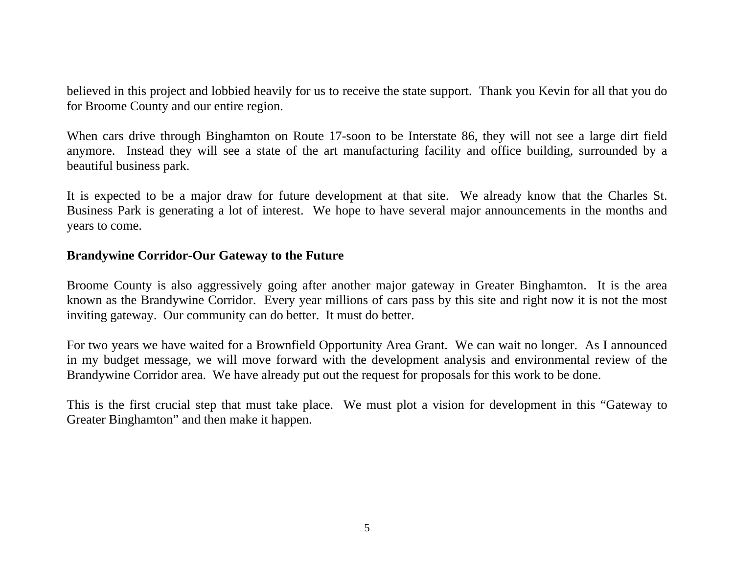believed in this project and lobbied heavily for us to receive the state support. Thank you Kevin for all that you do for Broome County and our entire region.

When cars drive through Binghamton on Route 17-soon to be Interstate 86, they will not see a large dirt field anymore. Instead they will see a state of the art manufacturing facility and office building, surrounded by a beautiful business park.

It is expected to be a major draw for future development at that site. We already know that the Charles St. Business Park is generating a lot of interest. We hope to have several major announcements in the months and years to come.

## **Brandywine Corridor-Our Gateway to the Future**

Broome County is also aggressively going after another major gateway in Greater Binghamton. It is the area known as the Brandywine Corridor. Every year millions of cars pass by this site and right now it is not the most inviting gateway. Our community can do better. It must do better.

For two years we have waited for a Brownfield Opportunity Area Grant. We can wait no longer. As I announced in my budget message, we will move forward with the development analysis and environmental review of the Brandywine Corridor area. We have already put out the request for proposals for this work to be done.

This is the first crucial step that must take place. We must plot a vision for development in this "Gateway to Greater Binghamton" and then make it happen.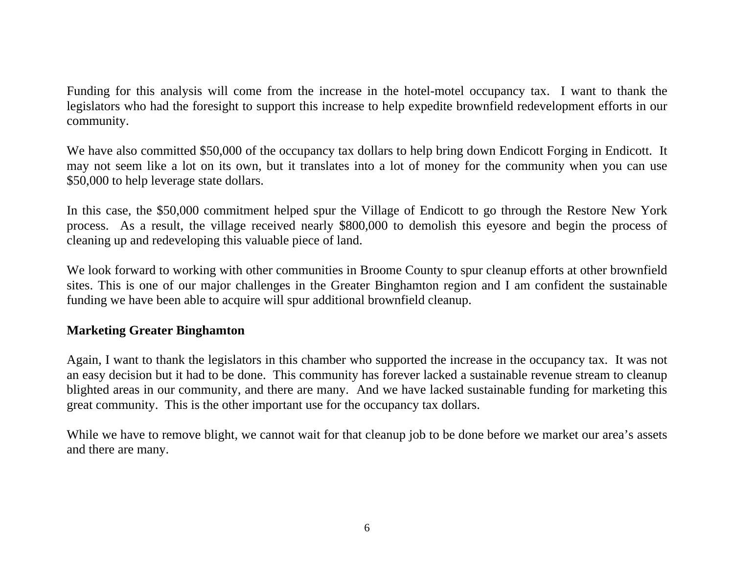Funding for this analysis will come from the increase in the hotel-motel occupancy tax. I want to thank the legislators who had the foresight to support this increase to help expedite brownfield redevelopment efforts in our community.

We have also committed \$50,000 of the occupancy tax dollars to help bring down Endicott Forging in Endicott. It may not seem like a lot on its own, but it translates into a lot of money for the community when you can use \$50,000 to help leverage state dollars.

In this case, the \$50,000 commitment helped spur the Village of Endicott to go through the Restore New York process. As a result, the village received nearly \$800,000 to demolish this eyesore and begin the process of cleaning up and redeveloping this valuable piece of land.

We look forward to working with other communities in Broome County to spur cleanup efforts at other brownfield sites. This is one of our major challenges in the Greater Binghamton region and I am confident the sustainable funding we have been able to acquire will spur additional brownfield cleanup.

# **Marketing Greater Binghamton**

Again, I want to thank the legislators in this chamber who supported the increase in the occupancy tax. It was not an easy decision but it had to be done. This community has forever lacked a sustainable revenue stream to cleanup blighted areas in our community, and there are many. And we have lacked sustainable funding for marketing this great community. This is the other important use for the occupancy tax dollars.

While we have to remove blight, we cannot wait for that cleanup job to be done before we market our area's assets and there are many.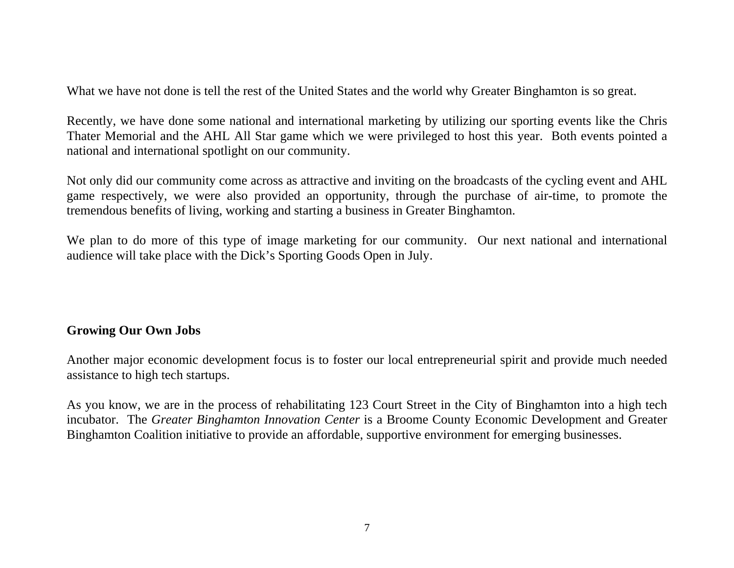What we have not done is tell the rest of the United States and the world why Greater Binghamton is so great.

Recently, we have done some national and international marketing by utilizing our sporting events like the Chris Thater Memorial and the AHL All Star game which we were privileged to host this year. Both events pointed a national and international spotlight on our community.

Not only did our community come across as attractive and inviting on the broadcasts of the cycling event and AHL game respectively, we were also provided an opportunity, through the purchase of air-time, to promote the tremendous benefits of living, working and starting a business in Greater Binghamton.

We plan to do more of this type of image marketing for our community. Our next national and international audience will take place with the Dick's Sporting Goods Open in July.

# **Growing Our Own Jobs**

Another major economic development focus is to foster our local entrepreneurial spirit and provide much needed assistance to high tech startups.

As you know, we are in the process of rehabilitating 123 Court Street in the City of Binghamton into a high tech incubator. The *Greater Binghamton Innovation Center* is a Broome County Economic Development and Greater Binghamton Coalition initiative to provide an affordable, supportive environment for emerging businesses.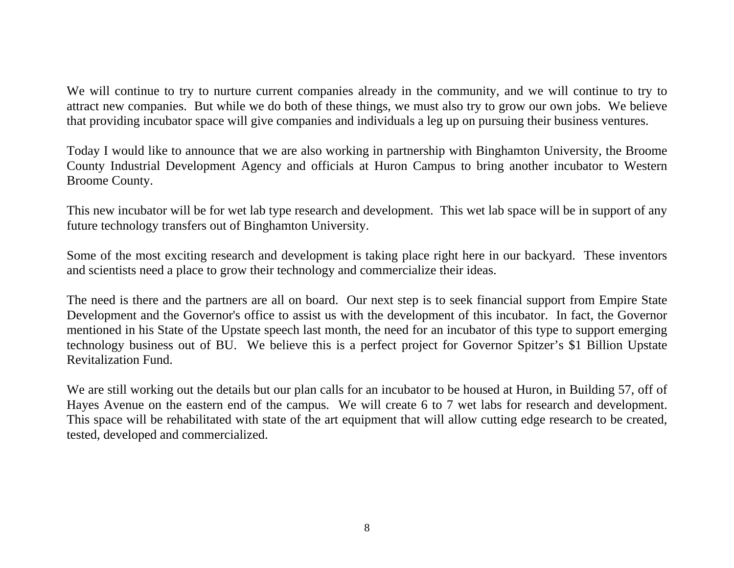We will continue to try to nurture current companies already in the community, and we will continue to try to attract new companies. But while we do both of these things, we must also try to grow our own jobs. We believe that providing incubator space will give companies and individuals a leg up on pursuing their business ventures.

Today I would like to announce that we are also working in partnership with Binghamton University, the Broome County Industrial Development Agency and officials at Huron Campus to bring another incubator to Western Broome County.

This new incubator will be for wet lab type research and development. This wet lab space will be in support of any future technology transfers out of Binghamton University.

Some of the most exciting research and development is taking place right here in our backyard. These inventors and scientists need a place to grow their technology and commercialize their ideas.

The need is there and the partners are all on board. Our next step is to seek financial support from Empire State Development and the Governor's office to assist us with the development of this incubator. In fact, the Governor mentioned in his State of the Upstate speech last month, the need for an incubator of this type to support emerging technology business out of BU. We believe this is a perfect project for Governor Spitzer's \$1 Billion Upstate Revitalization Fund.

We are still working out the details but our plan calls for an incubator to be housed at Huron, in Building 57, off of Hayes Avenue on the eastern end of the campus. We will create 6 to 7 wet labs for research and development. This space will be rehabilitated with state of the art equipment that will allow cutting edge research to be created, tested, developed and commercialized.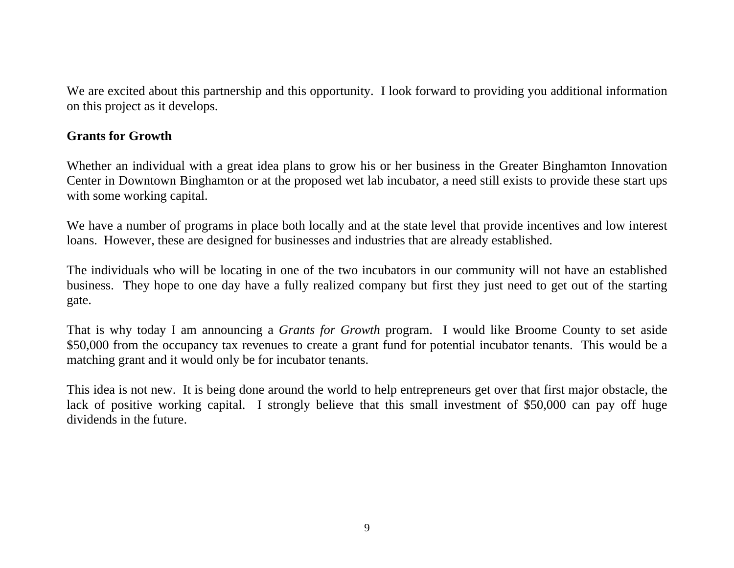We are excited about this partnership and this opportunity. I look forward to providing you additional information on this project as it develops.

## **Grants for Growth**

Whether an individual with a great idea plans to grow his or her business in the Greater Binghamton Innovation Center in Downtown Binghamton or at the proposed wet lab incubator, a need still exists to provide these start ups with some working capital.

We have a number of programs in place both locally and at the state level that provide incentives and low interest loans. However, these are designed for businesses and industries that are already established.

The individuals who will be locating in one of the two incubators in our community will not have an established business. They hope to one day have a fully realized company but first they just need to get out of the starting gate.

That is why today I am announcing a *Grants for Growth* program. I would like Broome County to set aside \$50,000 from the occupancy tax revenues to create a grant fund for potential incubator tenants. This would be a matching grant and it would only be for incubator tenants.

This idea is not new. It is being done around the world to help entrepreneurs get over that first major obstacle, the lack of positive working capital. I strongly believe that this small investment of \$50,000 can pay off huge dividends in the future.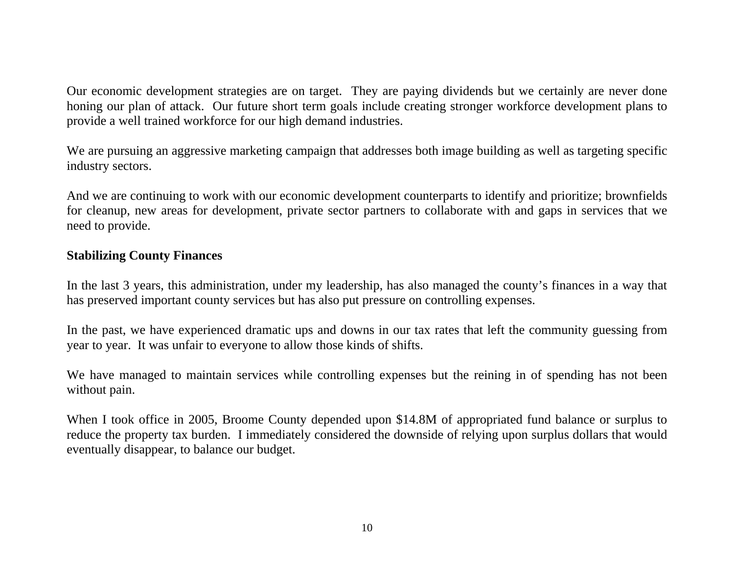Our economic development strategies are on target. They are paying dividends but we certainly are never done honing our plan of attack. Our future short term goals include creating stronger workforce development plans to provide a well trained workforce for our high demand industries.

We are pursuing an aggressive marketing campaign that addresses both image building as well as targeting specific industry sectors.

And we are continuing to work with our economic development counterparts to identify and prioritize; brownfields for cleanup, new areas for development, private sector partners to collaborate with and gaps in services that we need to provide.

# **Stabilizing County Finances**

In the last 3 years, this administration, under my leadership, has also managed the county's finances in a way that has preserved important county services but has also put pressure on controlling expenses.

In the past, we have experienced dramatic ups and downs in our tax rates that left the community guessing from year to year. It was unfair to everyone to allow those kinds of shifts.

We have managed to maintain services while controlling expenses but the reining in of spending has not been without pain.

When I took office in 2005, Broome County depended upon \$14.8M of appropriated fund balance or surplus to reduce the property tax burden. I immediately considered the downside of relying upon surplus dollars that would eventually disappear, to balance our budget.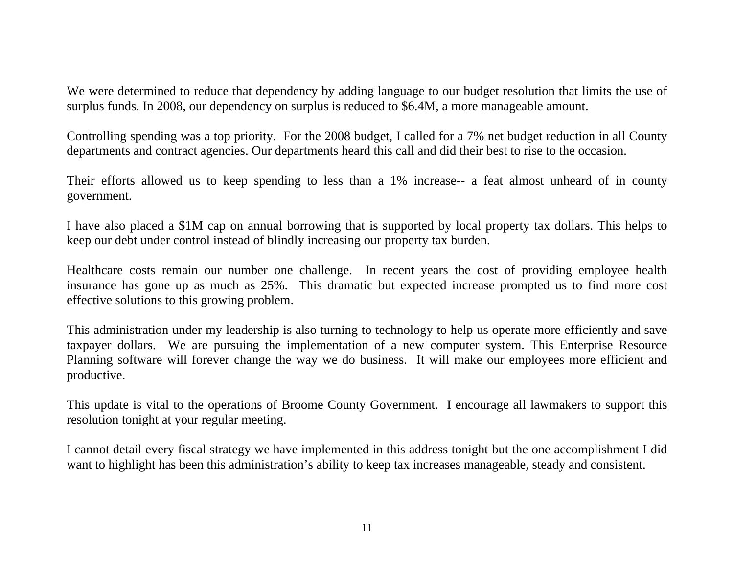We were determined to reduce that dependency by adding language to our budget resolution that limits the use of surplus funds. In 2008, our dependency on surplus is reduced to \$6.4M, a more manageable amount.

Controlling spending was a top priority. For the 2008 budget, I called for a 7% net budget reduction in all County departments and contract agencies. Our departments heard this call and did their best to rise to the occasion.

Their efforts allowed us to keep spending to less than a 1% increase-- a feat almost unheard of in county government.

I have also placed a \$1M cap on annual borrowing that is supported by local property tax dollars. This helps to keep our debt under control instead of blindly increasing our property tax burden.

Healthcare costs remain our number one challenge. In recent years the cost of providing employee health insurance has gone up as much as 25%. This dramatic but expected increase prompted us to find more cost effective solutions to this growing problem.

This administration under my leadership is also turning to technology to help us operate more efficiently and save taxpayer dollars. We are pursuing the implementation of a new computer system. This Enterprise Resource Planning software will forever change the way we do business. It will make our employees more efficient and productive.

This update is vital to the operations of Broome County Government. I encourage all lawmakers to support this resolution tonight at your regular meeting.

I cannot detail every fiscal strategy we have implemented in this address tonight but the one accomplishment I did want to highlight has been this administration's ability to keep tax increases manageable, steady and consistent.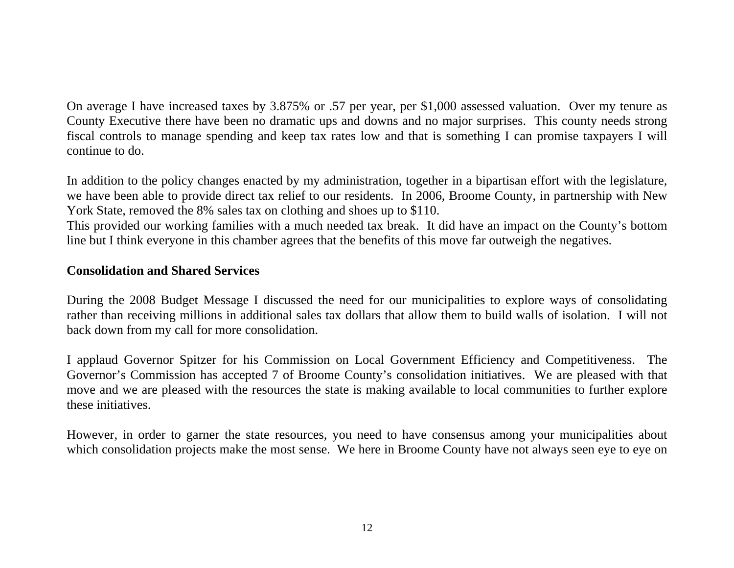On average I have increased taxes by 3.875% or .57 per year, per \$1,000 assessed valuation. Over my tenure as County Executive there have been no dramatic ups and downs and no major surprises. This county needs strong fiscal controls to manage spending and keep tax rates low and that is something I can promise taxpayers I will continue to do.

In addition to the policy changes enacted by my administration, together in a bipartisan effort with the legislature, we have been able to provide direct tax relief to our residents. In 2006, Broome County, in partnership with New York State, removed the 8% sales tax on clothing and shoes up to \$110.

This provided our working families with a much needed tax break. It did have an impact on the County's bottom line but I think everyone in this chamber agrees that the benefits of this move far outweigh the negatives.

# **Consolidation and Shared Services**

During the 2008 Budget Message I discussed the need for our municipalities to explore ways of consolidating rather than receiving millions in additional sales tax dollars that allow them to build walls of isolation. I will not back down from my call for more consolidation.

I applaud Governor Spitzer for his Commission on Local Government Efficiency and Competitiveness. The Governor's Commission has accepted 7 of Broome County's consolidation initiatives. We are pleased with that move and we are pleased with the resources the state is making available to local communities to further explore these initiatives.

However, in order to garner the state resources, you need to have consensus among your municipalities about which consolidation projects make the most sense. We here in Broome County have not always seen eye to eye on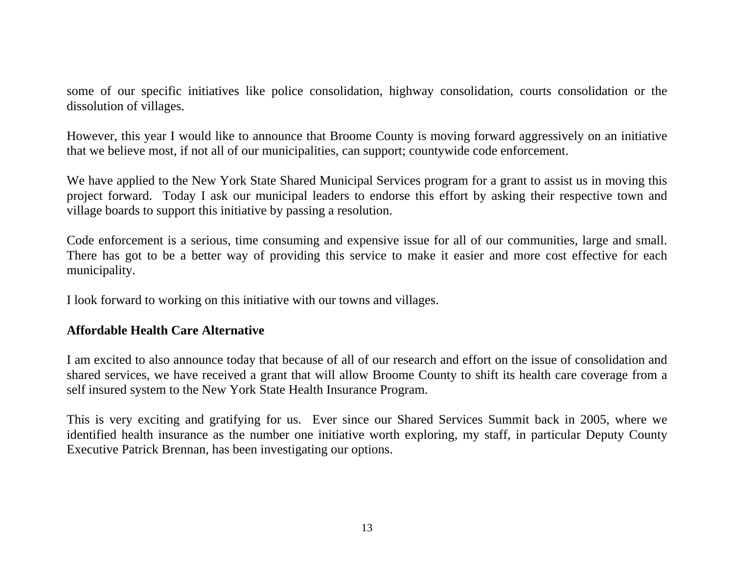some of our specific initiatives like police consolidation, highway consolidation, courts consolidation or the dissolution of villages.

However, this year I would like to announce that Broome County is moving forward aggressively on an initiative that we believe most, if not all of our municipalities, can support; countywide code enforcement.

We have applied to the New York State Shared Municipal Services program for a grant to assist us in moving this project forward. Today I ask our municipal leaders to endorse this effort by asking their respective town and village boards to support this initiative by passing a resolution.

Code enforcement is a serious, time consuming and expensive issue for all of our communities, large and small. There has got to be a better way of providing this service to make it easier and more cost effective for each municipality.

I look forward to working on this initiative with our towns and villages.

# **Affordable Health Care Alternative**

I am excited to also announce today that because of all of our research and effort on the issue of consolidation and shared services, we have received a grant that will allow Broome County to shift its health care coverage from a self insured system to the New York State Health Insurance Program.

This is very exciting and gratifying for us. Ever since our Shared Services Summit back in 2005, where we identified health insurance as the number one initiative worth exploring, my staff, in particular Deputy County Executive Patrick Brennan, has been investigating our options.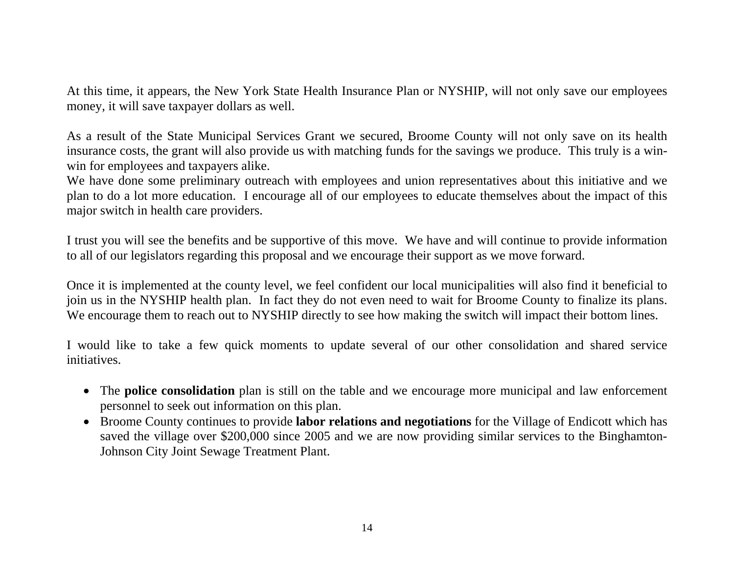At this time, it appears, the New York State Health Insurance Plan or NYSHIP, will not only save our employees money, it will save taxpayer dollars as well.

As a result of the State Municipal Services Grant we secured, Broome County will not only save on its health insurance costs, the grant will also provide us with matching funds for the savings we produce. This truly is a winwin for employees and taxpayers alike.

We have done some preliminary outreach with employees and union representatives about this initiative and we plan to do a lot more education. I encourage all of our employees to educate themselves about the impact of this major switch in health care providers.

I trust you will see the benefits and be supportive of this move. We have and will continue to provide information to all of our legislators regarding this proposal and we encourage their support as we move forward.

Once it is implemented at the county level, we feel confident our local municipalities will also find it beneficial to join us in the NYSHIP health plan. In fact they do not even need to wait for Broome County to finalize its plans. We encourage them to reach out to NYSHIP directly to see how making the switch will impact their bottom lines.

I would like to take a few quick moments to update several of our other consolidation and shared service initiatives.

- The **police consolidation** plan is still on the table and we encourage more municipal and law enforcement personnel to seek out information on this plan.
- Broome County continues to provide **labor relations and negotiations** for the Village of Endicott which has saved the village over \$200,000 since 2005 and we are now providing similar services to the Binghamton-Johnson City Joint Sewage Treatment Plant.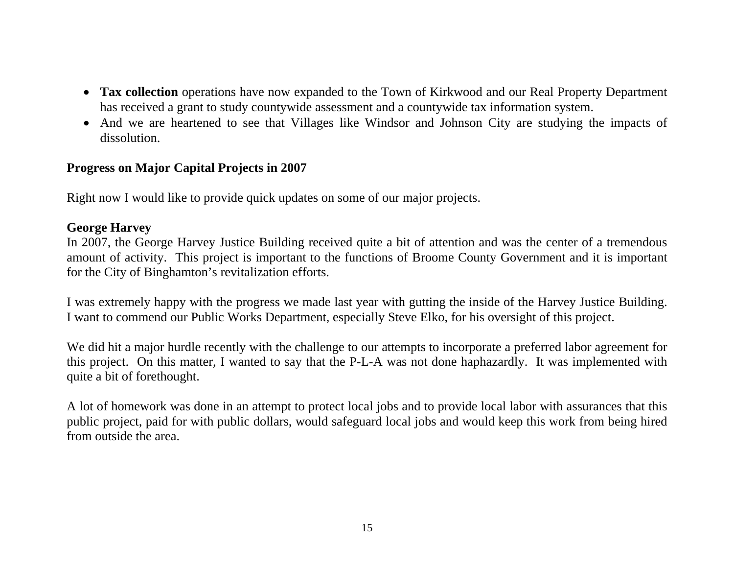- **Tax collection** operations have now expanded to the Town of Kirkwood and our Real Property Department has received a grant to study countywide assessment and a countywide tax information system.
- And we are heartened to see that Villages like Windsor and Johnson City are studying the impacts of dissolution.

# **Progress on Major Capital Projects in 2007**

Right now I would like to provide quick updates on some of our major projects.

# **George Harvey**

In 2007, the George Harvey Justice Building received quite a bit of attention and was the center of a tremendous amount of activity. This project is important to the functions of Broome County Government and it is important for the City of Binghamton's revitalization efforts.

I was extremely happy with the progress we made last year with gutting the inside of the Harvey Justice Building. I want to commend our Public Works Department, especially Steve Elko, for his oversight of this project.

We did hit a major hurdle recently with the challenge to our attempts to incorporate a preferred labor agreement for this project. On this matter, I wanted to say that the P-L-A was not done haphazardly. It was implemented with quite a bit of forethought.

A lot of homework was done in an attempt to protect local jobs and to provide local labor with assurances that this public project, paid for with public dollars, would safeguard local jobs and would keep this work from being hired from outside the area.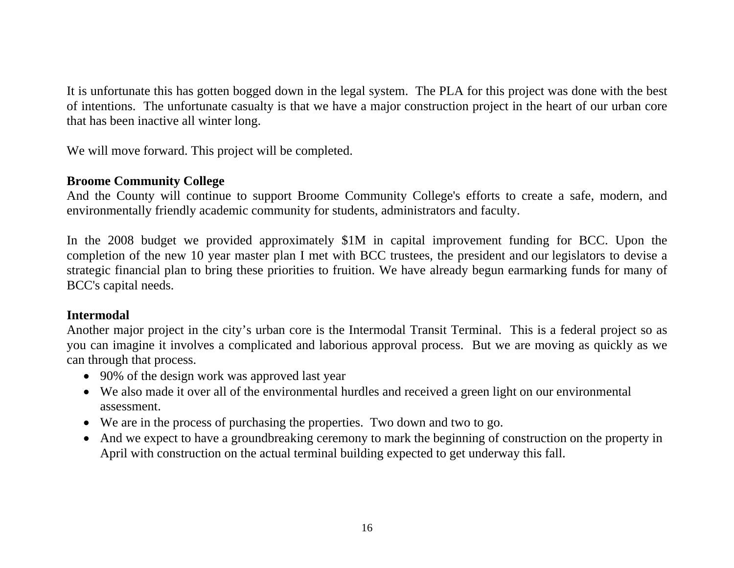It is unfortunate this has gotten bogged down in the legal system. The PLA for this project was done with the best of intentions. The unfortunate casualty is that we have a major construction project in the heart of our urban core that has been inactive all winter long.

We will move forward. This project will be completed.

## **Broome Community College**

And the County will continue to support Broome Community College's efforts to create a safe, modern, and environmentally friendly academic community for students, administrators and faculty.

In the 2008 budget we provided approximately \$1M in capital improvement funding for BCC. Upon the completion of the new 10 year master plan I met with BCC trustees, the president and our legislators to devise a strategic financial plan to bring these priorities to fruition. We have already begun earmarking funds for many of BCC's capital needs.

# **Intermodal**

Another major project in the city's urban core is the Intermodal Transit Terminal. This is a federal project so as you can imagine it involves a complicated and laborious approval process. But we are moving as quickly as we can through that process.

- 90% of the design work was approved last year
- We also made it over all of the environmental hurdles and received a green light on our environmental assessment.
- We are in the process of purchasing the properties. Two down and two to go.
- And we expect to have a groundbreaking ceremony to mark the beginning of construction on the property in April with construction on the actual terminal building expected to get underway this fall.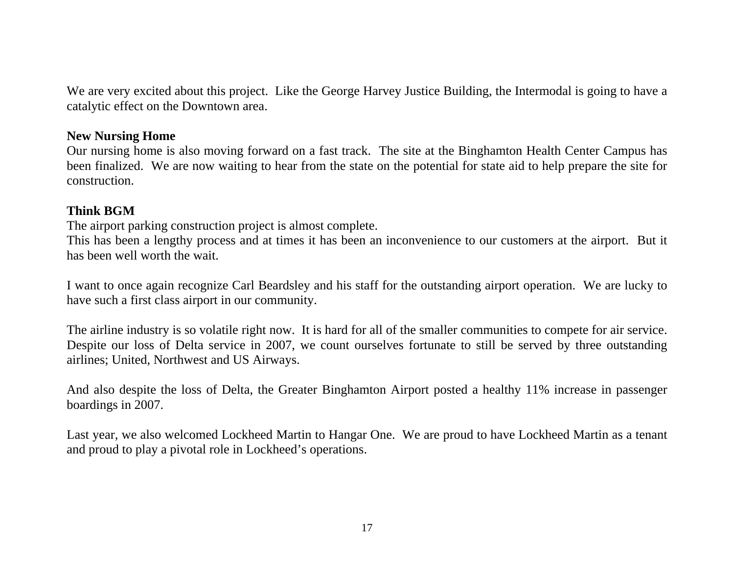We are very excited about this project. Like the George Harvey Justice Building, the Intermodal is going to have a catalytic effect on the Downtown area.

### **New Nursing Home**

Our nursing home is also moving forward on a fast track. The site at the Binghamton Health Center Campus has been finalized. We are now waiting to hear from the state on the potential for state aid to help prepare the site for construction.

# **Think BGM**

The airport parking construction project is almost complete.

This has been a lengthy process and at times it has been an inconvenience to our customers at the airport. But it has been well worth the wait.

I want to once again recognize Carl Beardsley and his staff for the outstanding airport operation. We are lucky to have such a first class airport in our community.

The airline industry is so volatile right now. It is hard for all of the smaller communities to compete for air service. Despite our loss of Delta service in 2007, we count ourselves fortunate to still be served by three outstanding airlines; United, Northwest and US Airways.

And also despite the loss of Delta, the Greater Binghamton Airport posted a healthy 11% increase in passenger boardings in 2007.

Last year, we also welcomed Lockheed Martin to Hangar One. We are proud to have Lockheed Martin as a tenant and proud to play a pivotal role in Lockheed's operations.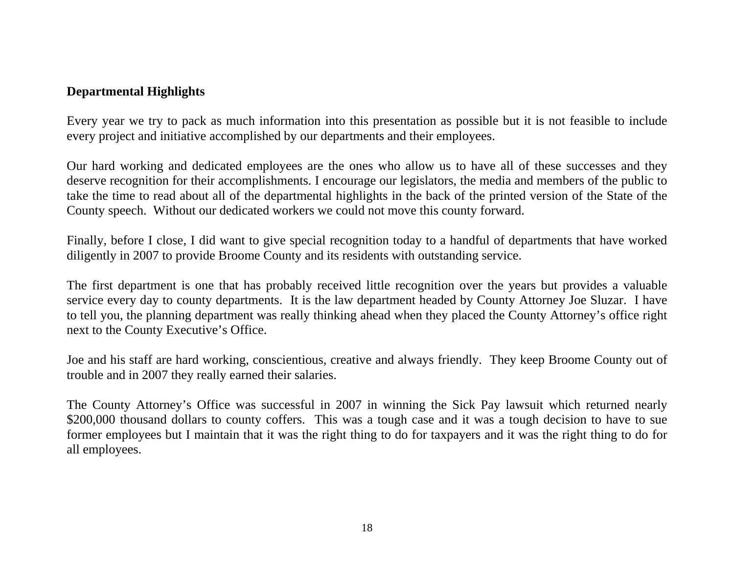# **Departmental Highlights**

Every year we try to pack as much information into this presentation as possible but it is not feasible to include every project and initiative accomplished by our departments and their employees.

Our hard working and dedicated employees are the ones who allow us to have all of these successes and they deserve recognition for their accomplishments. I encourage our legislators, the media and members of the public to take the time to read about all of the departmental highlights in the back of the printed version of the State of the County speech. Without our dedicated workers we could not move this county forward.

Finally, before I close, I did want to give special recognition today to a handful of departments that have worked diligently in 2007 to provide Broome County and its residents with outstanding service.

The first department is one that has probably received little recognition over the years but provides a valuable service every day to county departments. It is the law department headed by County Attorney Joe Sluzar. I have to tell you, the planning department was really thinking ahead when they placed the County Attorney's office right next to the County Executive's Office.

Joe and his staff are hard working, conscientious, creative and always friendly. They keep Broome County out of trouble and in 2007 they really earned their salaries.

The County Attorney's Office was successful in 2007 in winning the Sick Pay lawsuit which returned nearly \$200,000 thousand dollars to county coffers. This was a tough case and it was a tough decision to have to sue former employees but I maintain that it was the right thing to do for taxpayers and it was the right thing to do for all employees.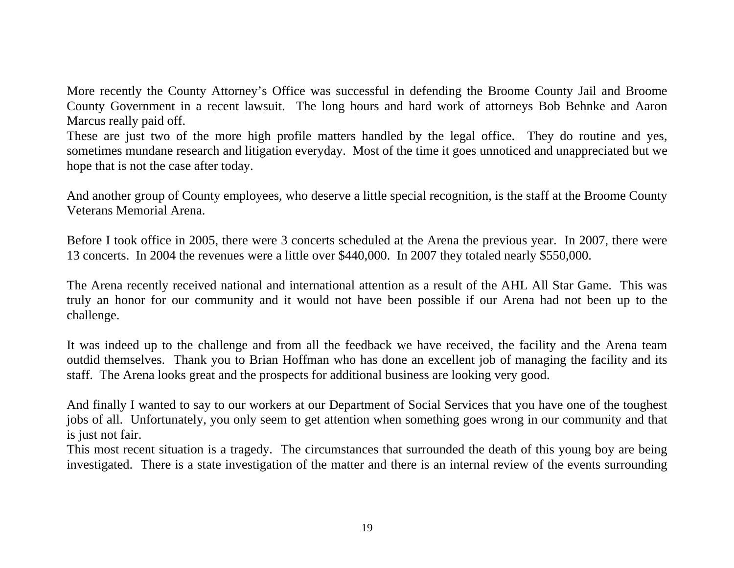More recently the County Attorney's Office was successful in defending the Broome County Jail and Broome County Government in a recent lawsuit. The long hours and hard work of attorneys Bob Behnke and Aaron Marcus really paid off.

These are just two of the more high profile matters handled by the legal office. They do routine and yes, sometimes mundane research and litigation everyday. Most of the time it goes unnoticed and unappreciated but we hope that is not the case after today.

And another group of County employees, who deserve a little special recognition, is the staff at the Broome County Veterans Memorial Arena.

Before I took office in 2005, there were 3 concerts scheduled at the Arena the previous year. In 2007, there were 13 concerts. In 2004 the revenues were a little over \$440,000. In 2007 they totaled nearly \$550,000.

The Arena recently received national and international attention as a result of the AHL All Star Game. This was truly an honor for our community and it would not have been possible if our Arena had not been up to the challenge.

It was indeed up to the challenge and from all the feedback we have received, the facility and the Arena team outdid themselves. Thank you to Brian Hoffman who has done an excellent job of managing the facility and its staff. The Arena looks great and the prospects for additional business are looking very good.

And finally I wanted to say to our workers at our Department of Social Services that you have one of the toughest jobs of all. Unfortunately, you only seem to get attention when something goes wrong in our community and that is just not fair.

This most recent situation is a tragedy. The circumstances that surrounded the death of this young boy are being investigated. There is a state investigation of the matter and there is an internal review of the events surrounding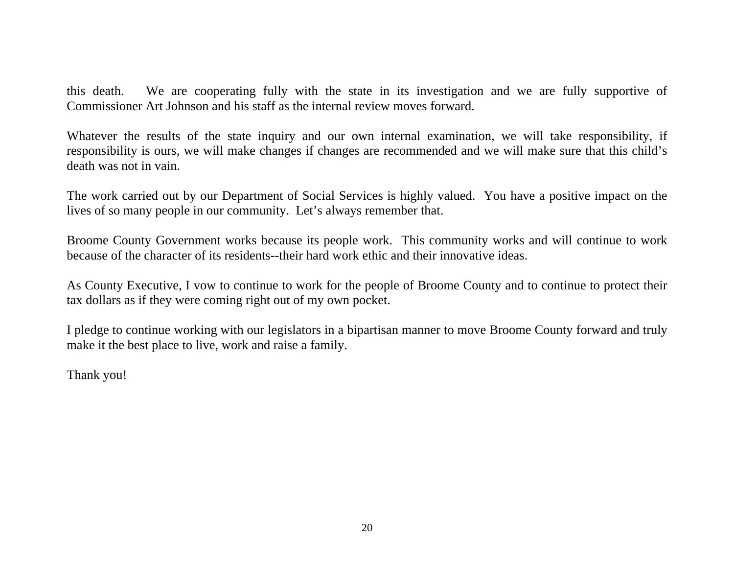this death. We are cooperating fully with the state in its investigation and we are fully supportive of Commissioner Art Johnson and his staff as the internal review moves forward.

Whatever the results of the state inquiry and our own internal examination, we will take responsibility, if responsibility is ours, we will make changes if changes are recommended and we will make sure that this child's death was not in vain.

The work carried out by our Department of Social Services is highly valued. You have a positive impact on the lives of so many people in our community. Let's always remember that.

Broome County Government works because its people work. This community works and will continue to work because of the character of its residents--their hard work ethic and their innovative ideas.

As County Executive, I vow to continue to work for the people of Broome County and to continue to protect their tax dollars as if they were coming right out of my own pocket.

I pledge to continue working with our legislators in a bipartisan manner to move Broome County forward and truly make it the best place to live, work and raise a family.

Thank you!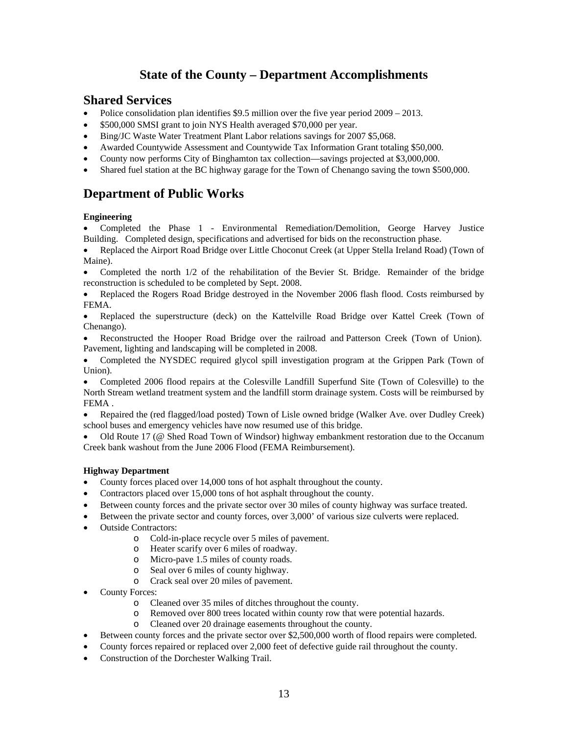## **State of the County – Department Accomplishments**

### **Shared Services**

- Police consolidation plan identifies \$9.5 million over the five year period  $2009 2013$ .
- \$500,000 SMSI grant to join NYS Health averaged \$70,000 per year.
- Bing/JC Waste Water Treatment Plant Labor relations savings for 2007 \$5,068.
- Awarded Countywide Assessment and Countywide Tax Information Grant totaling \$50,000.
- County now performs City of Binghamton tax collection—savings projected at \$3,000,000.
- Shared fuel station at the BC highway garage for the Town of Chenango saving the town \$500,000.

## **Department of Public Works**

### **Engineering**

- Completed the Phase 1 Environmental Remediation/Demolition, George Harvey Justice Building. Completed design, specifications and advertised for bids on the reconstruction phase.
- Replaced the Airport Road Bridge over Little Choconut Creek (at Upper Stella Ireland Road) (Town of Maine).
- Completed the north  $1/2$  of the rehabilitation of the Bevier St. Bridge. Remainder of the bridge reconstruction is scheduled to be completed by Sept. 2008.
- Replaced the Rogers Road Bridge destroyed in the November 2006 flash flood. Costs reimbursed by FEMA.
- Replaced the superstructure (deck) on the Kattelville Road Bridge over Kattel Creek (Town of Chenango).
- Reconstructed the Hooper Road Bridge over the railroad and Patterson Creek (Town of Union). Pavement, lighting and landscaping will be completed in 2008.
- Completed the NYSDEC required glycol spill investigation program at the Grippen Park (Town of Union).
- Completed 2006 flood repairs at the Colesville Landfill Superfund Site (Town of Colesville) to the North Stream wetland treatment system and the landfill storm drainage system. Costs will be reimbursed by FEMA .
- Repaired the (red flagged/load posted) Town of Lisle owned bridge (Walker Ave. over Dudley Creek) school buses and emergency vehicles have now resumed use of this bridge.
- Old Route 17 (@ Shed Road Town of Windsor) highway embankment restoration due to the Occanum Creek bank washout from the June 2006 Flood (FEMA Reimbursement).

### **Highway Department**

- County forces placed over 14,000 tons of hot asphalt throughout the county.
- Contractors placed over 15,000 tons of hot asphalt throughout the county.
- Between county forces and the private sector over 30 miles of county highway was surface treated.
- Between the private sector and county forces, over 3,000' of various size culverts were replaced.
- Outside Contractors:
	- o Cold-in-place recycle over 5 miles of pavement.
	- o Heater scarify over 6 miles of roadway.
	- o Micro-pave 1.5 miles of county roads.
	- o Seal over 6 miles of county highway.
	- o Crack seal over 20 miles of pavement.
- County Forces:
	- o Cleaned over 35 miles of ditches throughout the county.
	- o Removed over 800 trees located within county row that were potential hazards.
	- o Cleaned over 20 drainage easements throughout the county.
- Between county forces and the private sector over \$2,500,000 worth of flood repairs were completed.
- County forces repaired or replaced over 2,000 feet of defective guide rail throughout the county.
- Construction of the Dorchester Walking Trail.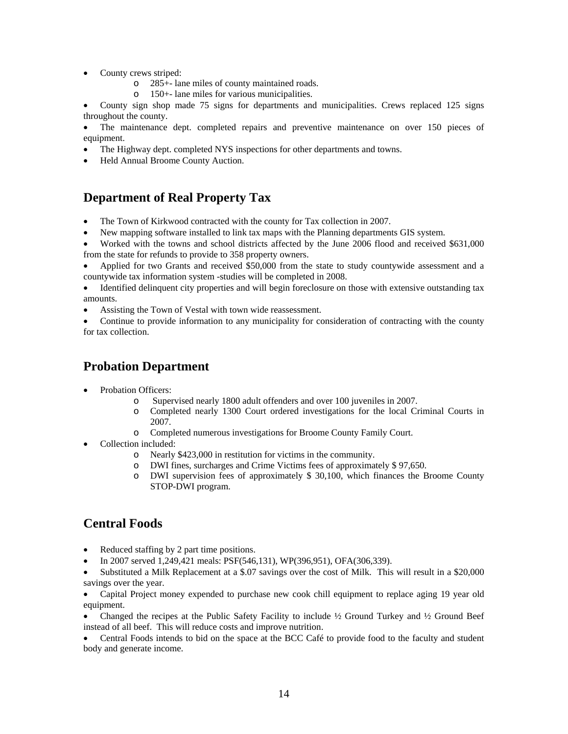- County crews striped:
	- o 285+- lane miles of county maintained roads.
	- o 150+- lane miles for various municipalities.

• County sign shop made 75 signs for departments and municipalities. Crews replaced 125 signs throughout the county.

The maintenance dept. completed repairs and preventive maintenance on over 150 pieces of equipment.

- The Highway dept. completed NYS inspections for other departments and towns.
- Held Annual Broome County Auction.

## **Department of Real Property Tax**

- The Town of Kirkwood contracted with the county for Tax collection in 2007.
- New mapping software installed to link tax maps with the Planning departments GIS system.

• Worked with the towns and school districts affected by the June 2006 flood and received \$631,000 from the state for refunds to provide to 358 property owners.

• Applied for two Grants and received \$50,000 from the state to study countywide assessment and a countywide tax information system -studies will be completed in 2008.

• Identified delinquent city properties and will begin foreclosure on those with extensive outstanding tax amounts.

• Assisting the Town of Vestal with town wide reassessment.

• Continue to provide information to any municipality for consideration of contracting with the county for tax collection.

## **Probation Department**

- Probation Officers:
	- o Supervised nearly 1800 adult offenders and over 100 juveniles in 2007.
	- o Completed nearly 1300 Court ordered investigations for the local Criminal Courts in 2007.
	- o Completed numerous investigations for Broome County Family Court.
- Collection included:
	- o Nearly \$423,000 in restitution for victims in the community.
	- o DWI fines, surcharges and Crime Victims fees of approximately \$ 97,650.
	- o DWI supervision fees of approximately \$ 30,100, which finances the Broome County STOP-DWI program.

### **Central Foods**

- Reduced staffing by 2 part time positions.
- In 2007 served 1,249,421 meals: PSF(546,131), WP(396,951), OFA(306,339).

• Substituted a Milk Replacement at a \$.07 savings over the cost of Milk. This will result in a \$20,000 savings over the year.

• Capital Project money expended to purchase new cook chill equipment to replace aging 19 year old equipment.

Changed the recipes at the Public Safety Facility to include  $\frac{1}{2}$  Ground Turkey and  $\frac{1}{2}$  Ground Beef instead of all beef. This will reduce costs and improve nutrition.

• Central Foods intends to bid on the space at the BCC Café to provide food to the faculty and student body and generate income.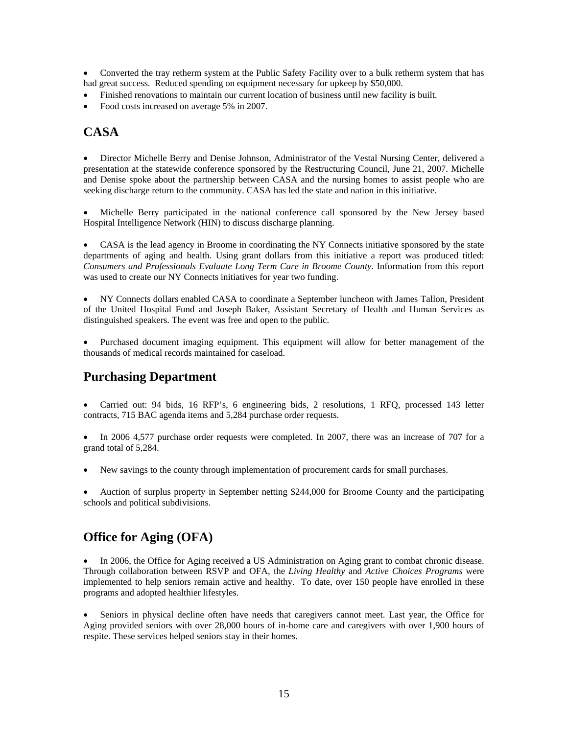• Converted the tray retherm system at the Public Safety Facility over to a bulk retherm system that has had great success. Reduced spending on equipment necessary for upkeep by \$50,000.

- Finished renovations to maintain our current location of business until new facility is built.
- Food costs increased on average 5% in 2007.

### **CASA**

• Director Michelle Berry and Denise Johnson, Administrator of the Vestal Nursing Center, delivered a presentation at the statewide conference sponsored by the Restructuring Council, June 21, 2007. Michelle and Denise spoke about the partnership between CASA and the nursing homes to assist people who are seeking discharge return to the community. CASA has led the state and nation in this initiative.

• Michelle Berry participated in the national conference call sponsored by the New Jersey based Hospital Intelligence Network (HIN) to discuss discharge planning.

• CASA is the lead agency in Broome in coordinating the NY Connects initiative sponsored by the state departments of aging and health. Using grant dollars from this initiative a report was produced titled: *Consumers and Professionals Evaluate Long Term Care in Broome County.* Information from this report was used to create our NY Connects initiatives for year two funding.

• NY Connects dollars enabled CASA to coordinate a September luncheon with James Tallon, President of the United Hospital Fund and Joseph Baker, Assistant Secretary of Health and Human Services as distinguished speakers. The event was free and open to the public.

• Purchased document imaging equipment. This equipment will allow for better management of the thousands of medical records maintained for caseload.

### **Purchasing Department**

• Carried out: 94 bids, 16 RFP's, 6 engineering bids, 2 resolutions, 1 RFQ, processed 143 letter contracts, 715 BAC agenda items and 5,284 purchase order requests.

• In 2006 4,577 purchase order requests were completed. In 2007, there was an increase of 707 for a grand total of 5,284.

• New savings to the county through implementation of procurement cards for small purchases.

• Auction of surplus property in September netting \$244,000 for Broome County and the participating schools and political subdivisions.

## **Office for Aging (OFA)**

In 2006, the Office for Aging received a US Administration on Aging grant to combat chronic disease. Through collaboration between RSVP and OFA, the *Living Healthy* and *Active Choices Programs* were implemented to help seniors remain active and healthy. To date, over 150 people have enrolled in these programs and adopted healthier lifestyles.

Seniors in physical decline often have needs that caregivers cannot meet. Last year, the Office for Aging provided seniors with over 28,000 hours of in-home care and caregivers with over 1,900 hours of respite. These services helped seniors stay in their homes.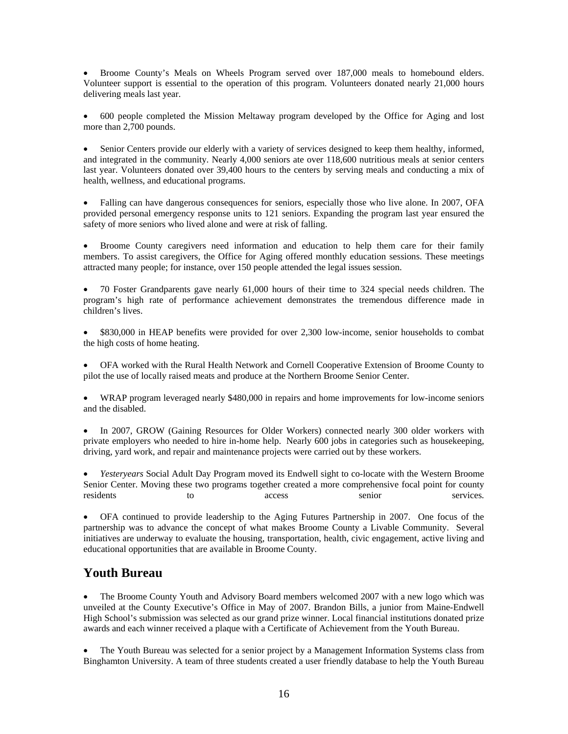• Broome County's Meals on Wheels Program served over 187,000 meals to homebound elders. Volunteer support is essential to the operation of this program. Volunteers donated nearly 21,000 hours delivering meals last year.

• 600 people completed the Mission Meltaway program developed by the Office for Aging and lost more than 2,700 pounds.

• Senior Centers provide our elderly with a variety of services designed to keep them healthy, informed, and integrated in the community. Nearly 4,000 seniors ate over 118,600 nutritious meals at senior centers last year. Volunteers donated over 39,400 hours to the centers by serving meals and conducting a mix of health, wellness, and educational programs.

• Falling can have dangerous consequences for seniors, especially those who live alone. In 2007, OFA provided personal emergency response units to 121 seniors. Expanding the program last year ensured the safety of more seniors who lived alone and were at risk of falling.

• Broome County caregivers need information and education to help them care for their family members. To assist caregivers, the Office for Aging offered monthly education sessions. These meetings attracted many people; for instance, over 150 people attended the legal issues session.

• 70 Foster Grandparents gave nearly 61,000 hours of their time to 324 special needs children. The program's high rate of performance achievement demonstrates the tremendous difference made in children's lives.

• \$830,000 in HEAP benefits were provided for over 2,300 low-income, senior households to combat the high costs of home heating.

• OFA worked with the Rural Health Network and Cornell Cooperative Extension of Broome County to pilot the use of locally raised meats and produce at the Northern Broome Senior Center.

• WRAP program leveraged nearly \$480,000 in repairs and home improvements for low-income seniors and the disabled.

• In 2007, GROW (Gaining Resources for Older Workers) connected nearly 300 older workers with private employers who needed to hire in-home help. Nearly 600 jobs in categories such as housekeeping, driving, yard work, and repair and maintenance projects were carried out by these workers.

• *Yesteryears* Social Adult Day Program moved its Endwell sight to co-locate with the Western Broome Senior Center. Moving these two programs together created a more comprehensive focal point for county residents to access senior services.

• OFA continued to provide leadership to the Aging Futures Partnership in 2007. One focus of the partnership was to advance the concept of what makes Broome County a Livable Community. Several initiatives are underway to evaluate the housing, transportation, health, civic engagement, active living and educational opportunities that are available in Broome County.

### **Youth Bureau**

• The Broome County Youth and Advisory Board members welcomed 2007 with a new logo which was unveiled at the County Executive's Office in May of 2007. Brandon Bills, a junior from Maine-Endwell High School's submission was selected as our grand prize winner. Local financial institutions donated prize awards and each winner received a plaque with a Certificate of Achievement from the Youth Bureau.

• The Youth Bureau was selected for a senior project by a Management Information Systems class from Binghamton University. A team of three students created a user friendly database to help the Youth Bureau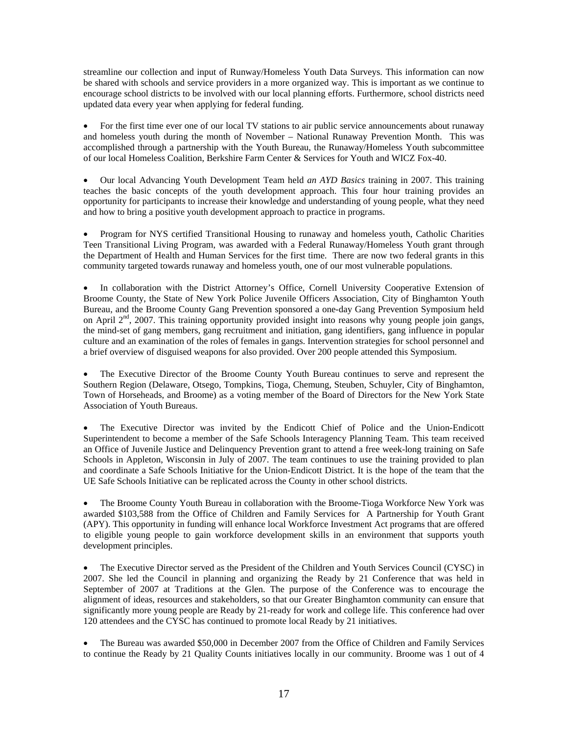streamline our collection and input of Runway/Homeless Youth Data Surveys. This information can now be shared with schools and service providers in a more organized way. This is important as we continue to encourage school districts to be involved with our local planning efforts. Furthermore, school districts need updated data every year when applying for federal funding.

• For the first time ever one of our local TV stations to air public service announcements about runaway and homeless youth during the month of November – National Runaway Prevention Month. This was accomplished through a partnership with the Youth Bureau, the Runaway/Homeless Youth subcommittee of our local Homeless Coalition, Berkshire Farm Center & Services for Youth and WICZ Fox-40.

• Our local Advancing Youth Development Team held *an AYD Basics* training in 2007. This training teaches the basic concepts of the youth development approach. This four hour training provides an opportunity for participants to increase their knowledge and understanding of young people, what they need and how to bring a positive youth development approach to practice in programs.

• Program for NYS certified Transitional Housing to runaway and homeless youth, Catholic Charities Teen Transitional Living Program, was awarded with a Federal Runaway/Homeless Youth grant through the Department of Health and Human Services for the first time. There are now two federal grants in this community targeted towards runaway and homeless youth, one of our most vulnerable populations.

In collaboration with the District Attorney's Office, Cornell University Cooperative Extension of Broome County, the State of New York Police Juvenile Officers Association, City of Binghamton Youth Bureau, and the Broome County Gang Prevention sponsored a one-day Gang Prevention Symposium held on April  $2<sup>nd</sup>$ , 2007. This training opportunity provided insight into reasons why young people join gangs, the mind-set of gang members, gang recruitment and initiation, gang identifiers, gang influence in popular culture and an examination of the roles of females in gangs. Intervention strategies for school personnel and a brief overview of disguised weapons for also provided. Over 200 people attended this Symposium.

• The Executive Director of the Broome County Youth Bureau continues to serve and represent the Southern Region (Delaware, Otsego, Tompkins, Tioga, Chemung, Steuben, Schuyler, City of Binghamton, Town of Horseheads, and Broome) as a voting member of the Board of Directors for the New York State Association of Youth Bureaus.

• The Executive Director was invited by the Endicott Chief of Police and the Union-Endicott Superintendent to become a member of the Safe Schools Interagency Planning Team. This team received an Office of Juvenile Justice and Delinquency Prevention grant to attend a free week-long training on Safe Schools in Appleton, Wisconsin in July of 2007. The team continues to use the training provided to plan and coordinate a Safe Schools Initiative for the Union-Endicott District. It is the hope of the team that the UE Safe Schools Initiative can be replicated across the County in other school districts.

• The Broome County Youth Bureau in collaboration with the Broome-Tioga Workforce New York was awarded \$103,588 from the Office of Children and Family Services for A Partnership for Youth Grant (APY). This opportunity in funding will enhance local Workforce Investment Act programs that are offered to eligible young people to gain workforce development skills in an environment that supports youth development principles.

• The Executive Director served as the President of the Children and Youth Services Council (CYSC) in 2007. She led the Council in planning and organizing the Ready by 21 Conference that was held in September of 2007 at Traditions at the Glen. The purpose of the Conference was to encourage the alignment of ideas, resources and stakeholders, so that our Greater Binghamton community can ensure that significantly more young people are Ready by 21-ready for work and college life. This conference had over 120 attendees and the CYSC has continued to promote local Ready by 21 initiatives.

• The Bureau was awarded \$50,000 in December 2007 from the Office of Children and Family Services to continue the Ready by 21 Quality Counts initiatives locally in our community. Broome was 1 out of 4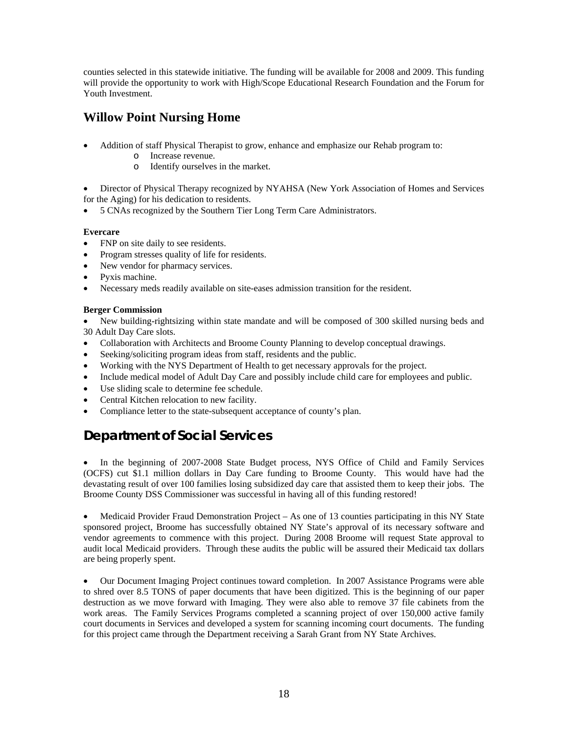counties selected in this statewide initiative. The funding will be available for 2008 and 2009. This funding will provide the opportunity to work with High/Scope Educational Research Foundation and the Forum for Youth Investment.

## **Willow Point Nursing Home**

- Addition of staff Physical Therapist to grow, enhance and emphasize our Rehab program to:
	- o Increase revenue.
	- o Identify ourselves in the market.

• Director of Physical Therapy recognized by NYAHSA (New York Association of Homes and Services for the Aging) for his dedication to residents.

• 5 CNAs recognized by the Southern Tier Long Term Care Administrators.

### **Evercare**

- FNP on site daily to see residents.
- Program stresses quality of life for residents.
- New vendor for pharmacy services.
- Pyxis machine.
- Necessary meds readily available on site-eases admission transition for the resident.

### **Berger Commission**

• New building-rightsizing within state mandate and will be composed of 300 skilled nursing beds and 30 Adult Day Care slots.

- Collaboration with Architects and Broome County Planning to develop conceptual drawings.
- Seeking/soliciting program ideas from staff, residents and the public.
- Working with the NYS Department of Health to get necessary approvals for the project.
- Include medical model of Adult Day Care and possibly include child care for employees and public.
- Use sliding scale to determine fee schedule.
- Central Kitchen relocation to new facility.
- Compliance letter to the state-subsequent acceptance of county's plan.

# **Department of Social Services**

• In the beginning of 2007-2008 State Budget process, NYS Office of Child and Family Services (OCFS) cut \$1.1 million dollars in Day Care funding to Broome County. This would have had the devastating result of over 100 families losing subsidized day care that assisted them to keep their jobs. The Broome County DSS Commissioner was successful in having all of this funding restored!

• Medicaid Provider Fraud Demonstration Project – As one of 13 counties participating in this NY State sponsored project, Broome has successfully obtained NY State's approval of its necessary software and vendor agreements to commence with this project. During 2008 Broome will request State approval to audit local Medicaid providers. Through these audits the public will be assured their Medicaid tax dollars are being properly spent.

• Our Document Imaging Project continues toward completion. In 2007 Assistance Programs were able to shred over 8.5 TONS of paper documents that have been digitized. This is the beginning of our paper destruction as we move forward with Imaging. They were also able to remove 37 file cabinets from the work areas. The Family Services Programs completed a scanning project of over 150,000 active family court documents in Services and developed a system for scanning incoming court documents. The funding for this project came through the Department receiving a Sarah Grant from NY State Archives.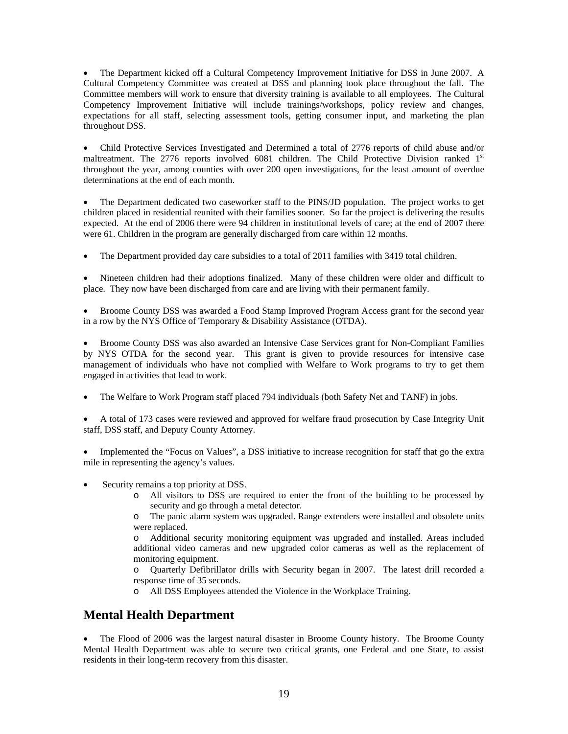• The Department kicked off a Cultural Competency Improvement Initiative for DSS in June 2007. A Cultural Competency Committee was created at DSS and planning took place throughout the fall. The Committee members will work to ensure that diversity training is available to all employees. The Cultural Competency Improvement Initiative will include trainings/workshops, policy review and changes, expectations for all staff, selecting assessment tools, getting consumer input, and marketing the plan throughout DSS.

• Child Protective Services Investigated and Determined a total of 2776 reports of child abuse and/or maltreatment. The 2776 reports involved  $6081$  children. The Child Protective Division ranked  $1<sup>st</sup>$ throughout the year, among counties with over 200 open investigations, for the least amount of overdue determinations at the end of each month.

• The Department dedicated two caseworker staff to the PINS/JD population. The project works to get children placed in residential reunited with their families sooner. So far the project is delivering the results expected. At the end of 2006 there were 94 children in institutional levels of care; at the end of 2007 there were 61. Children in the program are generally discharged from care within 12 months.

• The Department provided day care subsidies to a total of 2011 families with 3419 total children.

• Nineteen children had their adoptions finalized. Many of these children were older and difficult to place. They now have been discharged from care and are living with their permanent family.

• Broome County DSS was awarded a Food Stamp Improved Program Access grant for the second year in a row by the NYS Office of Temporary & Disability Assistance (OTDA).

• Broome County DSS was also awarded an Intensive Case Services grant for Non-Compliant Families by NYS OTDA for the second year. This grant is given to provide resources for intensive case management of individuals who have not complied with Welfare to Work programs to try to get them engaged in activities that lead to work.

• The Welfare to Work Program staff placed 794 individuals (both Safety Net and TANF) in jobs.

• A total of 173 cases were reviewed and approved for welfare fraud prosecution by Case Integrity Unit staff, DSS staff, and Deputy County Attorney.

• Implemented the "Focus on Values", a DSS initiative to increase recognition for staff that go the extra mile in representing the agency's values.

Security remains a top priority at DSS.

o All visitors to DSS are required to enter the front of the building to be processed by security and go through a metal detector.

o The panic alarm system was upgraded. Range extenders were installed and obsolete units were replaced.

o Additional security monitoring equipment was upgraded and installed. Areas included additional video cameras and new upgraded color cameras as well as the replacement of monitoring equipment.

o Quarterly Defibrillator drills with Security began in 2007. The latest drill recorded a response time of 35 seconds.

o All DSS Employees attended the Violence in the Workplace Training.

### **Mental Health Department**

• The Flood of 2006 was the largest natural disaster in Broome County history. The Broome County Mental Health Department was able to secure two critical grants, one Federal and one State, to assist residents in their long-term recovery from this disaster.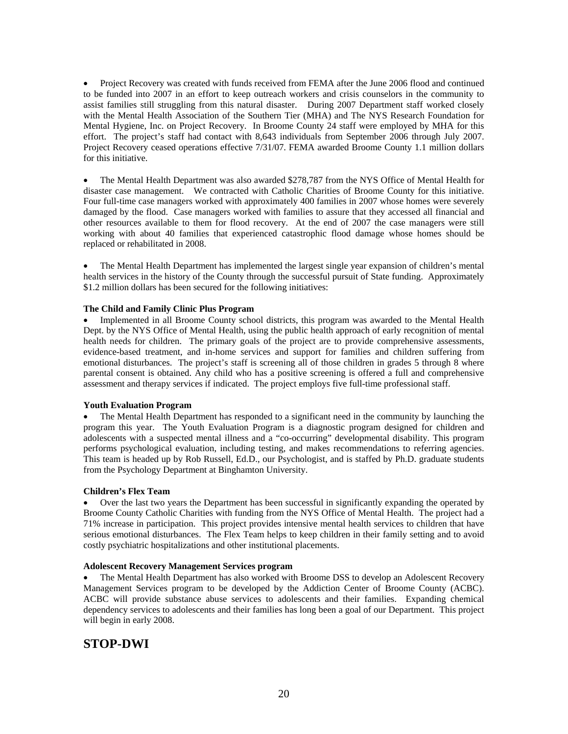• Project Recovery was created with funds received from FEMA after the June 2006 flood and continued to be funded into 2007 in an effort to keep outreach workers and crisis counselors in the community to assist families still struggling from this natural disaster. During 2007 Department staff worked closely with the Mental Health Association of the Southern Tier (MHA) and The NYS Research Foundation for Mental Hygiene, Inc. on Project Recovery. In Broome County 24 staff were employed by MHA for this effort. The project's staff had contact with 8,643 individuals from September 2006 through July 2007. Project Recovery ceased operations effective 7/31/07. FEMA awarded Broome County 1.1 million dollars for this initiative.

• The Mental Health Department was also awarded \$278,787 from the NYS Office of Mental Health for disaster case management. We contracted with Catholic Charities of Broome County for this initiative. Four full-time case managers worked with approximately 400 families in 2007 whose homes were severely damaged by the flood. Case managers worked with families to assure that they accessed all financial and other resources available to them for flood recovery. At the end of 2007 the case managers were still working with about 40 families that experienced catastrophic flood damage whose homes should be replaced or rehabilitated in 2008.

• The Mental Health Department has implemented the largest single year expansion of children's mental health services in the history of the County through the successful pursuit of State funding. Approximately \$1.2 million dollars has been secured for the following initiatives:

#### **The Child and Family Clinic Plus Program**

• Implemented in all Broome County school districts, this program was awarded to the Mental Health Dept. by the NYS Office of Mental Health, using the public health approach of early recognition of mental health needs for children. The primary goals of the project are to provide comprehensive assessments, evidence-based treatment, and in-home services and support for families and children suffering from emotional disturbances. The project's staff is screening all of those children in grades 5 through 8 where parental consent is obtained. Any child who has a positive screening is offered a full and comprehensive assessment and therapy services if indicated. The project employs five full-time professional staff.

#### **Youth Evaluation Program**

• The Mental Health Department has responded to a significant need in the community by launching the program this year. The Youth Evaluation Program is a diagnostic program designed for children and adolescents with a suspected mental illness and a "co-occurring" developmental disability. This program performs psychological evaluation, including testing, and makes recommendations to referring agencies. This team is headed up by Rob Russell, Ed.D., our Psychologist, and is staffed by Ph.D. graduate students from the Psychology Department at Binghamton University.

#### **Children's Flex Team**

• Over the last two years the Department has been successful in significantly expanding the operated by Broome County Catholic Charities with funding from the NYS Office of Mental Health. The project had a 71% increase in participation. This project provides intensive mental health services to children that have serious emotional disturbances. The Flex Team helps to keep children in their family setting and to avoid costly psychiatric hospitalizations and other institutional placements.

#### **Adolescent Recovery Management Services program**

• The Mental Health Department has also worked with Broome DSS to develop an Adolescent Recovery Management Services program to be developed by the Addiction Center of Broome County (ACBC). ACBC will provide substance abuse services to adolescents and their families. Expanding chemical dependency services to adolescents and their families has long been a goal of our Department. This project will begin in early 2008.

### **STOP-DWI**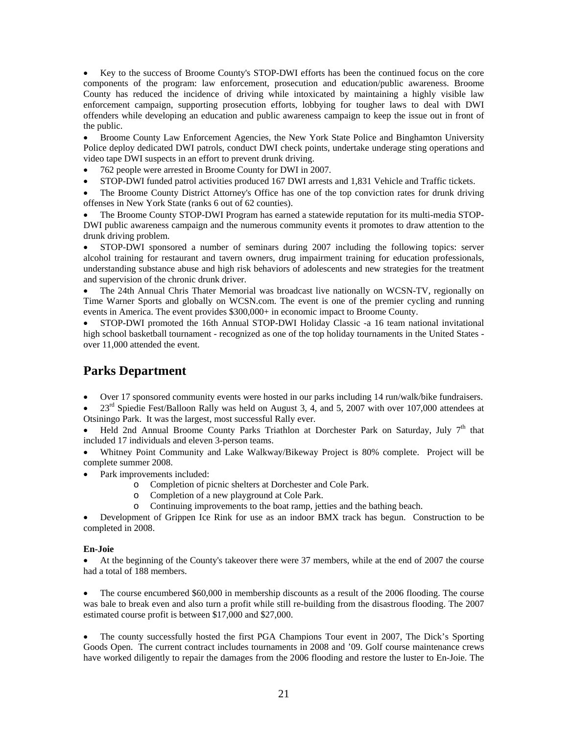• Key to the success of Broome County's STOP-DWI efforts has been the continued focus on the core components of the program: law enforcement, prosecution and education/public awareness. Broome County has reduced the incidence of driving while intoxicated by maintaining a highly visible law enforcement campaign, supporting prosecution efforts, lobbying for tougher laws to deal with DWI offenders while developing an education and public awareness campaign to keep the issue out in front of the public.

• Broome County Law Enforcement Agencies, the New York State Police and Binghamton University Police deploy dedicated DWI patrols, conduct DWI check points, undertake underage sting operations and video tape DWI suspects in an effort to prevent drunk driving.

- 762 people were arrested in Broome County for DWI in 2007.
- STOP-DWI funded patrol activities produced 167 DWI arrests and 1,831 Vehicle and Traffic tickets.
- The Broome County District Attorney's Office has one of the top conviction rates for drunk driving offenses in New York State (ranks 6 out of 62 counties).
- The Broome County STOP-DWI Program has earned a statewide reputation for its multi-media STOP-DWI public awareness campaign and the numerous community events it promotes to draw attention to the drunk driving problem.

• STOP-DWI sponsored a number of seminars during 2007 including the following topics: server alcohol training for restaurant and tavern owners, drug impairment training for education professionals, understanding substance abuse and high risk behaviors of adolescents and new strategies for the treatment and supervision of the chronic drunk driver.

• The 24th Annual Chris Thater Memorial was broadcast live nationally on WCSN-TV, regionally on Time Warner Sports and globally on WCSN.com. The event is one of the premier cycling and running events in America. The event provides \$300,000+ in economic impact to Broome County.

• STOP-DWI promoted the 16th Annual STOP-DWI Holiday Classic -a 16 team national invitational high school basketball tournament - recognized as one of the top holiday tournaments in the United States over 11,000 attended the event.

## **Parks Department**

• Over 17 sponsored community events were hosted in our parks including 14 run/walk/bike fundraisers.

 $23<sup>rd</sup>$  Spiedie Fest/Balloon Rally was held on August 3, 4, and 5, 2007 with over 107,000 attendees at Otsiningo Park. It was the largest, most successful Rally ever.

Held 2nd Annual Broome County Parks Triathlon at Dorchester Park on Saturday, July  $7<sup>th</sup>$  that included 17 individuals and eleven 3-person teams.

• Whitney Point Community and Lake Walkway/Bikeway Project is 80% complete. Project will be complete summer 2008.

- Park improvements included:
	- o Completion of picnic shelters at Dorchester and Cole Park.
	- o Completion of a new playground at Cole Park.
	- o Continuing improvements to the boat ramp, jetties and the bathing beach.

• Development of Grippen Ice Rink for use as an indoor BMX track has begun. Construction to be completed in 2008.

### **En-Joie**

• At the beginning of the County's takeover there were 37 members, while at the end of 2007 the course had a total of 188 members.

• The course encumbered \$60,000 in membership discounts as a result of the 2006 flooding. The course was bale to break even and also turn a profit while still re-building from the disastrous flooding. The 2007 estimated course profit is between \$17,000 and \$27,000.

• The county successfully hosted the first PGA Champions Tour event in 2007, The Dick's Sporting Goods Open. The current contract includes tournaments in 2008 and '09. Golf course maintenance crews have worked diligently to repair the damages from the 2006 flooding and restore the luster to En-Joie. The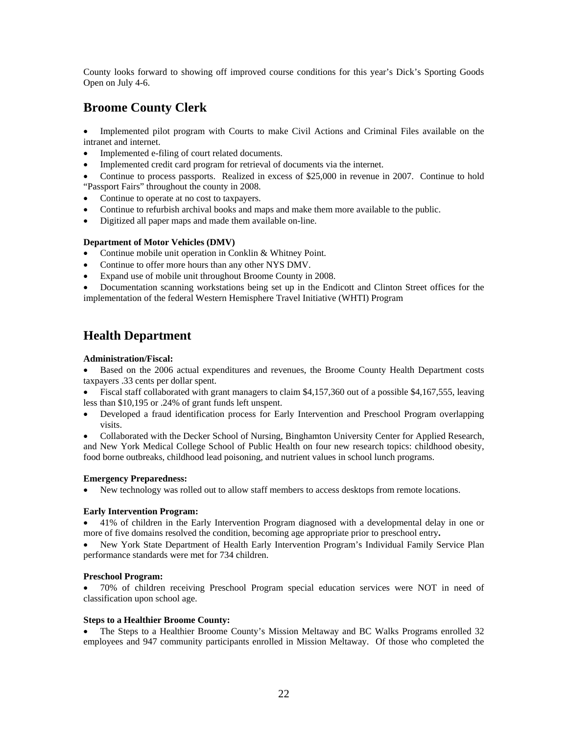County looks forward to showing off improved course conditions for this year's Dick's Sporting Goods Open on July 4-6.

## **Broome County Clerk**

• Implemented pilot program with Courts to make Civil Actions and Criminal Files available on the intranet and internet.

- Implemented e-filing of court related documents.
- Implemented credit card program for retrieval of documents via the internet.
- Continue to process passports. Realized in excess of \$25,000 in revenue in 2007. Continue to hold "Passport Fairs" throughout the county in 2008.
- Continue to operate at no cost to taxpayers.
- Continue to refurbish archival books and maps and make them more available to the public.
- Digitized all paper maps and made them available on-line.

### **Department of Motor Vehicles (DMV)**

- Continue mobile unit operation in Conklin & Whitney Point.
- Continue to offer more hours than any other NYS DMV.
- Expand use of mobile unit throughout Broome County in 2008.

• Documentation scanning workstations being set up in the Endicott and Clinton Street offices for the implementation of the federal Western Hemisphere Travel Initiative (WHTI) Program

# **Health Department**

### **Administration/Fiscal:**

• Based on the 2006 actual expenditures and revenues, the Broome County Health Department costs taxpayers .33 cents per dollar spent.

• Fiscal staff collaborated with grant managers to claim \$4,157,360 out of a possible \$4,167,555, leaving less than \$10,195 or .24% of grant funds left unspent.

• Developed a fraud identification process for Early Intervention and Preschool Program overlapping visits.

• Collaborated with the Decker School of Nursing, Binghamton University Center for Applied Research, and New York Medical College School of Public Health on four new research topics: childhood obesity, food borne outbreaks, childhood lead poisoning, and nutrient values in school lunch programs.

### **Emergency Preparedness:**

• New technology was rolled out to allow staff members to access desktops from remote locations.

### **Early Intervention Program:**

• 41% of children in the Early Intervention Program diagnosed with a developmental delay in one or more of five domains resolved the condition, becoming age appropriate prior to preschool entry**.** 

• New York State Department of Health Early Intervention Program's Individual Family Service Plan performance standards were met for 734 children.

### **Preschool Program:**

• 70% of children receiving Preschool Program special education services were NOT in need of classification upon school age.

### **Steps to a Healthier Broome County:**

• The Steps to a Healthier Broome County's Mission Meltaway and BC Walks Programs enrolled 32 employees and 947 community participants enrolled in Mission Meltaway. Of those who completed the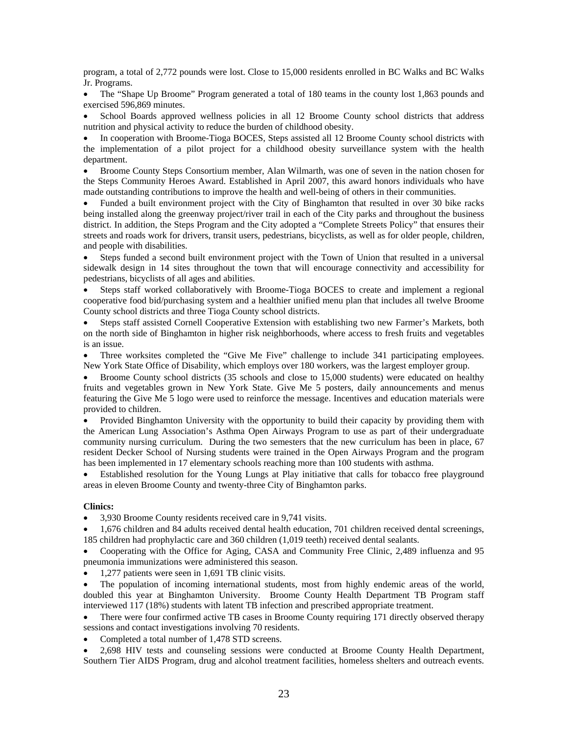program, a total of 2,772 pounds were lost. Close to 15,000 residents enrolled in BC Walks and BC Walks Jr. Programs.

• The "Shape Up Broome" Program generated a total of 180 teams in the county lost 1,863 pounds and exercised 596,869 minutes.

• School Boards approved wellness policies in all 12 Broome County school districts that address nutrition and physical activity to reduce the burden of childhood obesity.

• In cooperation with Broome-Tioga BOCES, Steps assisted all 12 Broome County school districts with the implementation of a pilot project for a childhood obesity surveillance system with the health department.

• Broome County Steps Consortium member, Alan Wilmarth, was one of seven in the nation chosen for the Steps Community Heroes Award. Established in April 2007, this award honors individuals who have made outstanding contributions to improve the health and well-being of others in their communities.

• Funded a built environment project with the City of Binghamton that resulted in over 30 bike racks being installed along the greenway project/river trail in each of the City parks and throughout the business district. In addition, the Steps Program and the City adopted a "Complete Streets Policy" that ensures their streets and roads work for drivers, transit users, pedestrians, bicyclists, as well as for older people, children, and people with disabilities.

• Steps funded a second built environment project with the Town of Union that resulted in a universal sidewalk design in 14 sites throughout the town that will encourage connectivity and accessibility for pedestrians, bicyclists of all ages and abilities.

• Steps staff worked collaboratively with Broome-Tioga BOCES to create and implement a regional cooperative food bid/purchasing system and a healthier unified menu plan that includes all twelve Broome County school districts and three Tioga County school districts.

• Steps staff assisted Cornell Cooperative Extension with establishing two new Farmer's Markets, both on the north side of Binghamton in higher risk neighborhoods, where access to fresh fruits and vegetables is an issue.

• Three worksites completed the "Give Me Five" challenge to include 341 participating employees. New York State Office of Disability, which employs over 180 workers, was the largest employer group.

• Broome County school districts (35 schools and close to 15,000 students) were educated on healthy fruits and vegetables grown in New York State. Give Me 5 posters, daily announcements and menus featuring the Give Me 5 logo were used to reinforce the message. Incentives and education materials were provided to children.

• Provided Binghamton University with the opportunity to build their capacity by providing them with the American Lung Association's Asthma Open Airways Program to use as part of their undergraduate community nursing curriculum. During the two semesters that the new curriculum has been in place, 67 resident Decker School of Nursing students were trained in the Open Airways Program and the program has been implemented in 17 elementary schools reaching more than 100 students with asthma.

Established resolution for the Young Lungs at Play initiative that calls for tobacco free playground areas in eleven Broome County and twenty-three City of Binghamton parks.

#### **Clinics:**

• 3,930 Broome County residents received care in 9,741 visits.

• 1,676 children and 84 adults received dental health education, 701 children received dental screenings, 185 children had prophylactic care and 360 children (1,019 teeth) received dental sealants.

• Cooperating with the Office for Aging, CASA and Community Free Clinic, 2,489 influenza and 95 pneumonia immunizations were administered this season.

• 1,277 patients were seen in 1,691 TB clinic visits.

The population of incoming international students, most from highly endemic areas of the world, doubled this year at Binghamton University. Broome County Health Department TB Program staff interviewed 117 (18%) students with latent TB infection and prescribed appropriate treatment.

• There were four confirmed active TB cases in Broome County requiring 171 directly observed therapy sessions and contact investigations involving 70 residents.

• Completed a total number of 1,478 STD screens.

• 2,698 HIV tests and counseling sessions were conducted at Broome County Health Department, Southern Tier AIDS Program, drug and alcohol treatment facilities, homeless shelters and outreach events.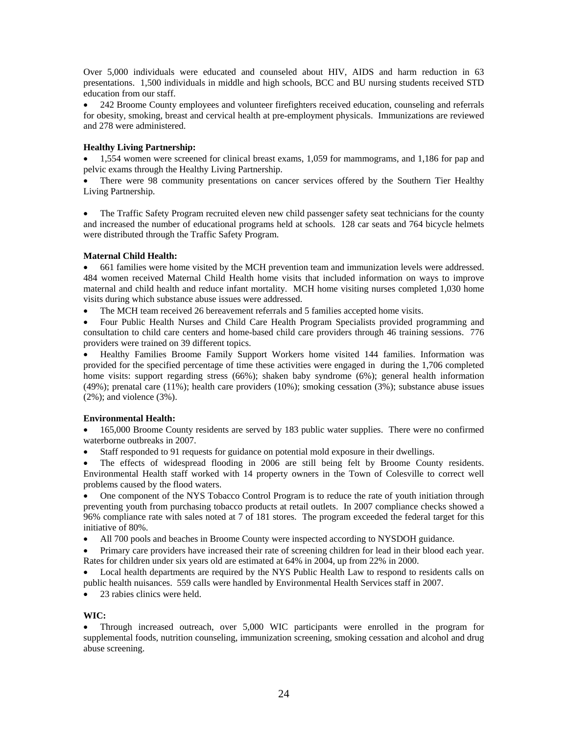Over 5,000 individuals were educated and counseled about HIV, AIDS and harm reduction in 63 presentations. 1,500 individuals in middle and high schools, BCC and BU nursing students received STD education from our staff.

• 242 Broome County employees and volunteer firefighters received education, counseling and referrals for obesity, smoking, breast and cervical health at pre-employment physicals. Immunizations are reviewed and 278 were administered.

### **Healthy Living Partnership:**

• 1,554 women were screened for clinical breast exams, 1,059 for mammograms, and 1,186 for pap and pelvic exams through the Healthy Living Partnership.

• There were 98 community presentations on cancer services offered by the Southern Tier Healthy Living Partnership.

• The Traffic Safety Program recruited eleven new child passenger safety seat technicians for the county and increased the number of educational programs held at schools. 128 car seats and 764 bicycle helmets were distributed through the Traffic Safety Program.

### **Maternal Child Health:**

• 661 families were home visited by the MCH prevention team and immunization levels were addressed. 484 women received Maternal Child Health home visits that included information on ways to improve maternal and child health and reduce infant mortality. MCH home visiting nurses completed 1,030 home visits during which substance abuse issues were addressed.

• The MCH team received 26 bereavement referrals and 5 families accepted home visits.

• Four Public Health Nurses and Child Care Health Program Specialists provided programming and consultation to child care centers and home-based child care providers through 46 training sessions. 776 providers were trained on 39 different topics.

• Healthy Families Broome Family Support Workers home visited 144 families. Information was provided for the specified percentage of time these activities were engaged in during the 1,706 completed home visits: support regarding stress (66%); shaken baby syndrome (6%); general health information (49%); prenatal care (11%); health care providers (10%); smoking cessation (3%); substance abuse issues  $(2\%)$ ; and violence  $(3\%)$ .

### **Environmental Health:**

• 165,000 Broome County residents are served by 183 public water supplies. There were no confirmed waterborne outbreaks in 2007.

• Staff responded to 91 requests for guidance on potential mold exposure in their dwellings.

• The effects of widespread flooding in 2006 are still being felt by Broome County residents. Environmental Health staff worked with 14 property owners in the Town of Colesville to correct well problems caused by the flood waters.

• One component of the NYS Tobacco Control Program is to reduce the rate of youth initiation through preventing youth from purchasing tobacco products at retail outlets. In 2007 compliance checks showed a 96% compliance rate with sales noted at 7 of 181 stores. The program exceeded the federal target for this initiative of 80%.

• All 700 pools and beaches in Broome County were inspected according to NYSDOH guidance.

• Primary care providers have increased their rate of screening children for lead in their blood each year. Rates for children under six years old are estimated at 64% in 2004, up from 22% in 2000.

• Local health departments are required by the NYS Public Health Law to respond to residents calls on public health nuisances. 559 calls were handled by Environmental Health Services staff in 2007.

• 23 rabies clinics were held.

### **WIC:**

• Through increased outreach, over 5,000 WIC participants were enrolled in the program for supplemental foods, nutrition counseling, immunization screening, smoking cessation and alcohol and drug abuse screening.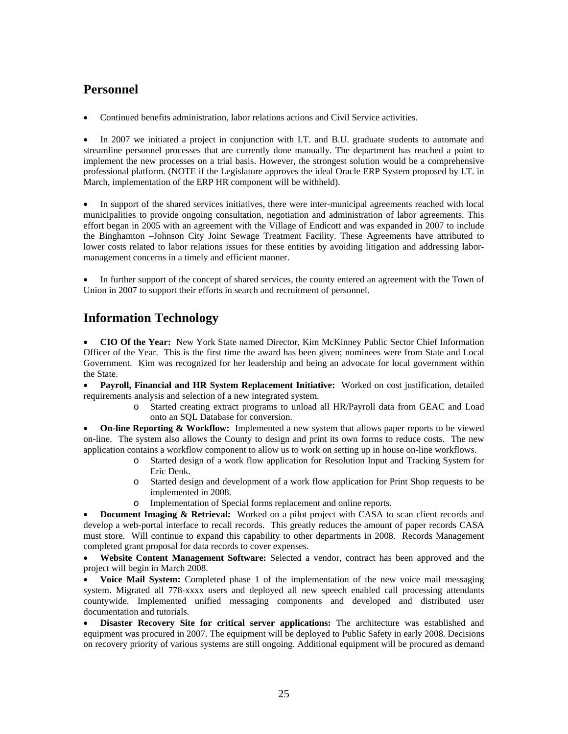## **Personnel**

• Continued benefits administration, labor relations actions and Civil Service activities.

In 2007 we initiated a project in conjunction with I.T. and B.U. graduate students to automate and streamline personnel processes that are currently done manually. The department has reached a point to implement the new processes on a trial basis. However, the strongest solution would be a comprehensive professional platform. (NOTE if the Legislature approves the ideal Oracle ERP System proposed by I.T. in March, implementation of the ERP HR component will be withheld).

• In support of the shared services initiatives, there were inter-municipal agreements reached with local municipalities to provide ongoing consultation, negotiation and administration of labor agreements. This effort began in 2005 with an agreement with the Village of Endicott and was expanded in 2007 to include the Binghamton –Johnson City Joint Sewage Treatment Facility. These Agreements have attributed to lower costs related to labor relations issues for these entities by avoiding litigation and addressing labormanagement concerns in a timely and efficient manner.

In further support of the concept of shared services, the county entered an agreement with the Town of Union in 2007 to support their efforts in search and recruitment of personnel.

# **Information Technology**

• **CIO Of the Year:** New York State named Director, Kim McKinney Public Sector Chief Information Officer of the Year. This is the first time the award has been given; nominees were from State and Local Government. Kim was recognized for her leadership and being an advocate for local government within the State.

• **Payroll, Financial and HR System Replacement Initiative:** Worked on cost justification, detailed requirements analysis and selection of a new integrated system.

o Started creating extract programs to unload all HR/Payroll data from GEAC and Load onto an SQL Database for conversion.

• **On-line Reporting & Workflow:** Implemented a new system that allows paper reports to be viewed on-line. The system also allows the County to design and print its own forms to reduce costs. The new application contains a workflow component to allow us to work on setting up in house on-line workflows.

- o Started design of a work flow application for Resolution Input and Tracking System for Eric Denk.
- o Started design and development of a work flow application for Print Shop requests to be implemented in 2008.
- o Implementation of Special forms replacement and online reports.

• **Document Imaging & Retrieval:** Worked on a pilot project with CASA to scan client records and develop a web-portal interface to recall records. This greatly reduces the amount of paper records CASA must store. Will continue to expand this capability to other departments in 2008. Records Management completed grant proposal for data records to cover expenses.

• **Website Content Management Software:** Selected a vendor, contract has been approved and the project will begin in March 2008.

• **Voice Mail System:** Completed phase 1 of the implementation of the new voice mail messaging system. Migrated all 778-xxxx users and deployed all new speech enabled call processing attendants countywide. Implemented unified messaging components and developed and distributed user documentation and tutorials.

• **Disaster Recovery Site for critical server applications:** The architecture was established and equipment was procured in 2007. The equipment will be deployed to Public Safety in early 2008. Decisions on recovery priority of various systems are still ongoing. Additional equipment will be procured as demand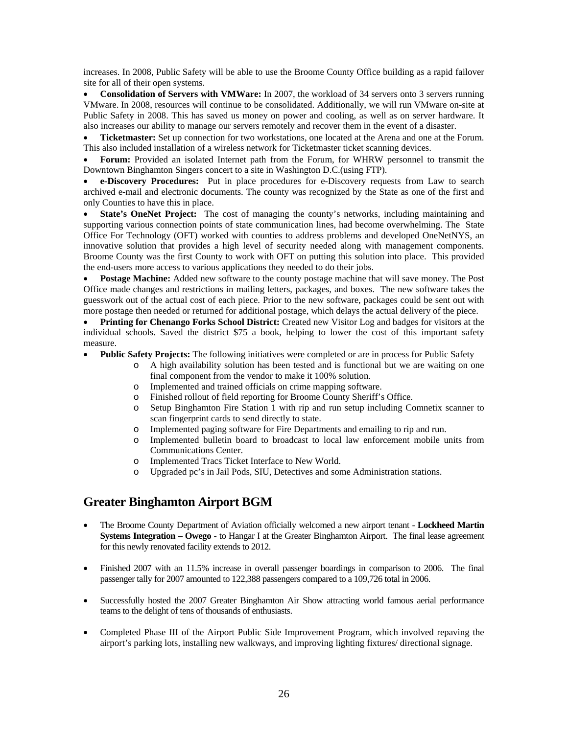increases. In 2008, Public Safety will be able to use the Broome County Office building as a rapid failover site for all of their open systems.

• **Consolidation of Servers with VMWare:** In 2007, the workload of 34 servers onto 3 servers running VMware. In 2008, resources will continue to be consolidated. Additionally, we will run VMware on-site at Public Safety in 2008. This has saved us money on power and cooling, as well as on server hardware. It also increases our ability to manage our servers remotely and recover them in the event of a disaster.

• **Ticketmaster:** Set up connection for two workstations, one located at the Arena and one at the Forum. This also included installation of a wireless network for Ticketmaster ticket scanning devices.

• **Forum:** Provided an isolated Internet path from the Forum, for WHRW personnel to transmit the Downtown Binghamton Singers concert to a site in Washington D.C.(using FTP).

• **e-Discovery Procedures:** Put in place procedures for e-Discovery requests from Law to search archived e-mail and electronic documents. The county was recognized by the State as one of the first and only Counties to have this in place.

**State's OneNet Project:** The cost of managing the county's networks, including maintaining and supporting various connection points of state communication lines, had become overwhelming. The State Office For Technology (OFT) worked with counties to address problems and developed OneNetNYS, an innovative solution that provides a high level of security needed along with management components. Broome County was the first County to work with OFT on putting this solution into place. This provided the end-users more access to various applications they needed to do their jobs.

**Postage Machine:** Added new software to the county postage machine that will save money. The Post Office made changes and restrictions in mailing letters, packages, and boxes. The new software takes the guesswork out of the actual cost of each piece. Prior to the new software, packages could be sent out with more postage then needed or returned for additional postage, which delays the actual delivery of the piece.

• **Printing for Chenango Forks School District:** Created new Visitor Log and badges for visitors at the individual schools. Saved the district \$75 a book, helping to lower the cost of this important safety measure.

- **Public Safety Projects:** The following initiatives were completed or are in process for Public Safety
	- o A high availability solution has been tested and is functional but we are waiting on one final component from the vendor to make it 100% solution.
	- o Implemented and trained officials on crime mapping software.
	- o Finished rollout of field reporting for Broome County Sheriff's Office.
	- o Setup Binghamton Fire Station 1 with rip and run setup including Comnetix scanner to scan fingerprint cards to send directly to state.
	- o Implemented paging software for Fire Departments and emailing to rip and run.
	- o Implemented bulletin board to broadcast to local law enforcement mobile units from Communications Center.
	- o Implemented Tracs Ticket Interface to New World.
	- o Upgraded pc's in Jail Pods, SIU, Detectives and some Administration stations.

### **Greater Binghamton Airport BGM**

- The Broome County Department of Aviation officially welcomed a new airport tenant **Lockheed Martin Systems Integration – Owego -** to Hangar I at the Greater Binghamton Airport. The final lease agreement for this newly renovated facility extends to 2012.
- Finished 2007 with an 11.5% increase in overall passenger boardings in comparison to 2006. The final passenger tally for 2007 amounted to 122,388 passengers compared to a 109,726 total in 2006.
- Successfully hosted the 2007 Greater Binghamton Air Show attracting world famous aerial performance teams to the delight of tens of thousands of enthusiasts.
- Completed Phase III of the Airport Public Side Improvement Program, which involved repaving the airport's parking lots, installing new walkways, and improving lighting fixtures/ directional signage.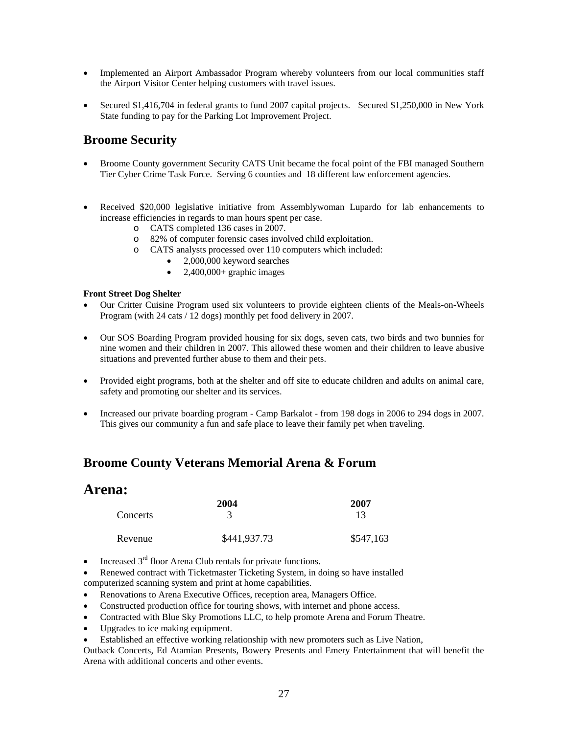- Implemented an Airport Ambassador Program whereby volunteers from our local communities staff the Airport Visitor Center helping customers with travel issues.
- Secured \$1,416,704 in federal grants to fund 2007 capital projects. Secured \$1,250,000 in New York State funding to pay for the Parking Lot Improvement Project.

## **Broome Security**

- Broome County government Security CATS Unit became the focal point of the FBI managed Southern Tier Cyber Crime Task Force. Serving 6 counties and 18 different law enforcement agencies.
- Received \$20,000 legislative initiative from Assemblywoman Lupardo for lab enhancements to increase efficiencies in regards to man hours spent per case.
	- o CATS completed 136 cases in 2007.
	- o 82% of computer forensic cases involved child exploitation.
	- o CATS analysts processed over 110 computers which included:
		- 2,000,000 keyword searches
		- $2,400,000+$  graphic images

#### **Front Street Dog Shelter**

- Our Critter Cuisine Program used six volunteers to provide eighteen clients of the Meals-on-Wheels Program (with 24 cats / 12 dogs) monthly pet food delivery in 2007.
- Our SOS Boarding Program provided housing for six dogs, seven cats, two birds and two bunnies for nine women and their children in 2007. This allowed these women and their children to leave abusive situations and prevented further abuse to them and their pets.
- Provided eight programs, both at the shelter and off site to educate children and adults on animal care, safety and promoting our shelter and its services.
- Increased our private boarding program Camp Barkalot from 198 dogs in 2006 to 294 dogs in 2007. This gives our community a fun and safe place to leave their family pet when traveling.

### **Broome County Veterans Memorial Arena & Forum**

| <b>Arena:</b> |              |           |  |
|---------------|--------------|-----------|--|
|               | 2004         | 2007      |  |
| Concerts      |              | 13        |  |
| Revenue       | \$441,937.73 | \$547,163 |  |

- Increased  $3<sup>rd</sup>$  floor Arena Club rentals for private functions.
- Renewed contract with Ticketmaster Ticketing System, in doing so have installed computerized scanning system and print at home capabilities.
- Renovations to Arena Executive Offices, reception area, Managers Office.
- Constructed production office for touring shows, with internet and phone access.
- Contracted with Blue Sky Promotions LLC, to help promote Arena and Forum Theatre.
- Upgrades to ice making equipment.
- Established an effective working relationship with new promoters such as Live Nation,

Outback Concerts, Ed Atamian Presents, Bowery Presents and Emery Entertainment that will benefit the Arena with additional concerts and other events.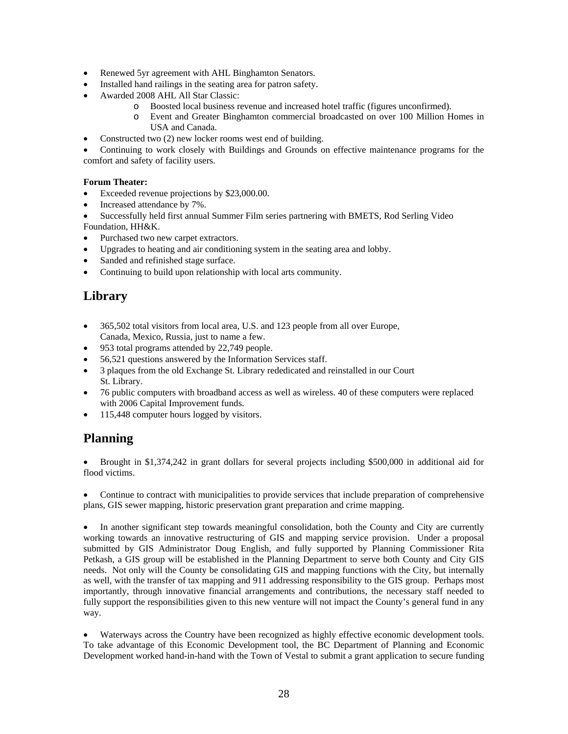- Renewed 5yr agreement with AHL Binghamton Senators.
- Installed hand railings in the seating area for patron safety.
- Awarded 2008 AHL All Star Classic:
	- o Boosted local business revenue and increased hotel traffic (figures unconfirmed).
	- o Event and Greater Binghamton commercial broadcasted on over 100 Million Homes in USA and Canada.
- Constructed two (2) new locker rooms west end of building.

• Continuing to work closely with Buildings and Grounds on effective maintenance programs for the comfort and safety of facility users.

### **Forum Theater:**

- Exceeded revenue projections by \$23,000.00.
- Increased attendance by 7%.
- Successfully held first annual Summer Film series partnering with BMETS, Rod Serling Video Foundation, HH&K.
- Purchased two new carpet extractors.
- Upgrades to heating and air conditioning system in the seating area and lobby.
- Sanded and refinished stage surface.
- Continuing to build upon relationship with local arts community.

# **Library**

- 365,502 total visitors from local area, U.S. and 123 people from all over Europe, Canada, Mexico, Russia, just to name a few.
- 953 total programs attended by 22,749 people.
- 56,521 questions answered by the Information Services staff.
- 3 plaques from the old Exchange St. Library rededicated and reinstalled in our Court St. Library.
- 76 public computers with broadband access as well as wireless. 40 of these computers were replaced with 2006 Capital Improvement funds.
- 115,448 computer hours logged by visitors.

### **Planning**

• Brought in \$1,374,242 in grant dollars for several projects including \$500,000 in additional aid for flood victims.

• Continue to contract with municipalities to provide services that include preparation of comprehensive plans, GIS sewer mapping, historic preservation grant preparation and crime mapping.

• In another significant step towards meaningful consolidation, both the County and City are currently working towards an innovative restructuring of GIS and mapping service provision. Under a proposal submitted by GIS Administrator Doug English, and fully supported by Planning Commissioner Rita Petkash, a GIS group will be established in the Planning Department to serve both County and City GIS needs. Not only will the County be consolidating GIS and mapping functions with the City, but internally as well, with the transfer of tax mapping and 911 addressing responsibility to the GIS group. Perhaps most importantly, through innovative financial arrangements and contributions, the necessary staff needed to fully support the responsibilities given to this new venture will not impact the County's general fund in any way.

• Waterways across the Country have been recognized as highly effective economic development tools. To take advantage of this Economic Development tool, the BC Department of Planning and Economic Development worked hand-in-hand with the Town of Vestal to submit a grant application to secure funding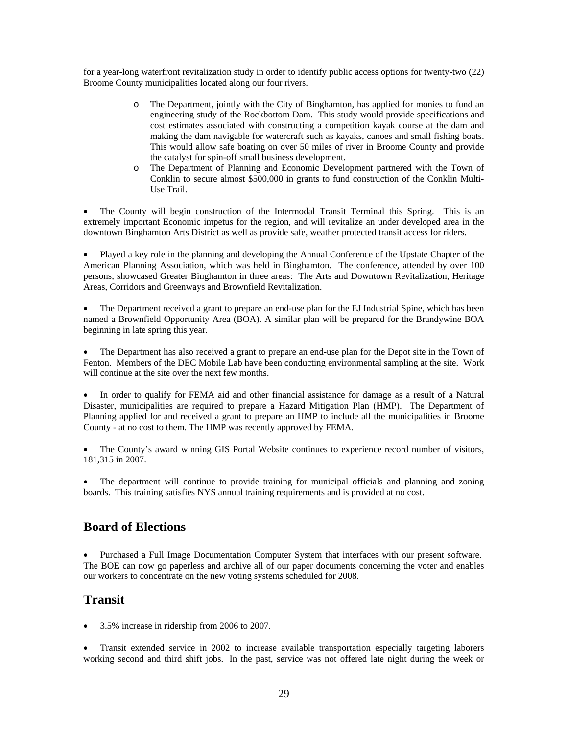for a year-long waterfront revitalization study in order to identify public access options for twenty-two (22) Broome County municipalities located along our four rivers.

- o The Department, jointly with the City of Binghamton, has applied for monies to fund an engineering study of the Rockbottom Dam. This study would provide specifications and cost estimates associated with constructing a competition kayak course at the dam and making the dam navigable for watercraft such as kayaks, canoes and small fishing boats. This would allow safe boating on over 50 miles of river in Broome County and provide the catalyst for spin-off small business development.
- o The Department of Planning and Economic Development partnered with the Town of Conklin to secure almost \$500,000 in grants to fund construction of the Conklin Multi-Use Trail.

• The County will begin construction of the Intermodal Transit Terminal this Spring. This is an extremely important Economic impetus for the region, and will revitalize an under developed area in the downtown Binghamton Arts District as well as provide safe, weather protected transit access for riders.

• Played a key role in the planning and developing the Annual Conference of the Upstate Chapter of the American Planning Association, which was held in Binghamton. The conference, attended by over 100 persons, showcased Greater Binghamton in three areas: The Arts and Downtown Revitalization, Heritage Areas, Corridors and Greenways and Brownfield Revitalization.

• The Department received a grant to prepare an end-use plan for the EJ Industrial Spine, which has been named a Brownfield Opportunity Area (BOA). A similar plan will be prepared for the Brandywine BOA beginning in late spring this year.

• The Department has also received a grant to prepare an end-use plan for the Depot site in the Town of Fenton. Members of the DEC Mobile Lab have been conducting environmental sampling at the site. Work will continue at the site over the next few months.

• In order to qualify for FEMA aid and other financial assistance for damage as a result of a Natural Disaster, municipalities are required to prepare a Hazard Mitigation Plan (HMP). The Department of Planning applied for and received a grant to prepare an HMP to include all the municipalities in Broome County - at no cost to them. The HMP was recently approved by FEMA.

• The County's award winning GIS Portal Website continues to experience record number of visitors, 181,315 in 2007.

• The department will continue to provide training for municipal officials and planning and zoning boards. This training satisfies NYS annual training requirements and is provided at no cost.

### **Board of Elections**

• Purchased a Full Image Documentation Computer System that interfaces with our present software. The BOE can now go paperless and archive all of our paper documents concerning the voter and enables our workers to concentrate on the new voting systems scheduled for 2008.

### **Transit**

• 3.5% increase in ridership from 2006 to 2007.

• Transit extended service in 2002 to increase available transportation especially targeting laborers working second and third shift jobs. In the past, service was not offered late night during the week or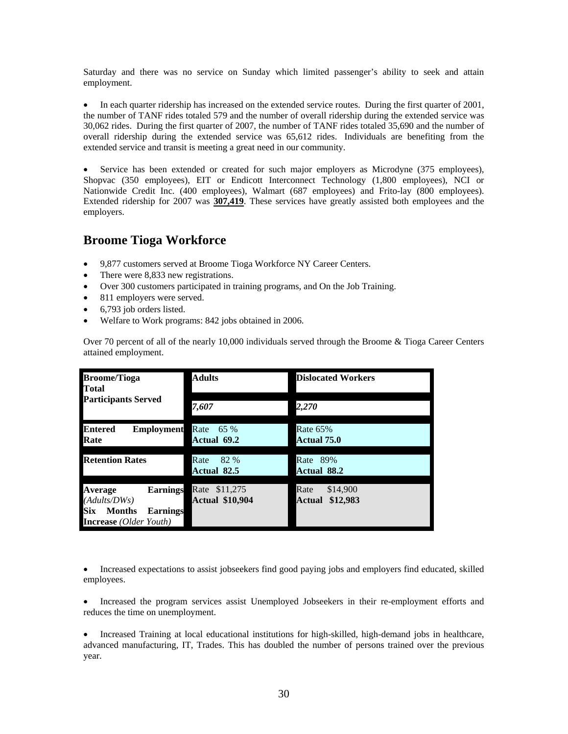Saturday and there was no service on Sunday which limited passenger's ability to seek and attain employment.

• In each quarter ridership has increased on the extended service routes. During the first quarter of 2001, the number of TANF rides totaled 579 and the number of overall ridership during the extended service was 30,062 rides. During the first quarter of 2007, the number of TANF rides totaled 35,690 and the number of overall ridership during the extended service was 65,612 rides. Individuals are benefiting from the extended service and transit is meeting a great need in our community.

Service has been extended or created for such major employers as Microdyne (375 employees), Shopvac (350 employees), EIT or Endicott Interconnect Technology (1,800 employees), NCI or Nationwide Credit Inc. (400 employees), Walmart (687 employees) and Frito-lay (800 employees). Extended ridership for 2007 was **307,419**. These services have greatly assisted both employees and the employers.

### **Broome Tioga Workforce**

- 9,877 customers served at Broome Tioga Workforce NY Career Centers.
- There were 8,833 new registrations.
- Over 300 customers participated in training programs, and On the Job Training.
- 811 employers were served.
- 6,793 job orders listed.
- Welfare to Work programs: 842 jobs obtained in 2006.

Over 70 percent of all of the nearly 10,000 individuals served through the Broome & Tioga Career Centers attained employment.

| <b>Broome/Tioga</b><br>Total                                                                                                  | <b>Adults</b>                              | <b>Dislocated Workers</b>              |  |
|-------------------------------------------------------------------------------------------------------------------------------|--------------------------------------------|----------------------------------------|--|
| <b>Participants Served</b>                                                                                                    | 7,607                                      | 2,270                                  |  |
| Entered<br><b>Employment</b><br>Rate                                                                                          | Rate<br>65 %<br>Actual 69.2                | <b>Rate 65%</b><br>Actual 75.0         |  |
| <b>Retention Rates</b>                                                                                                        | Rate<br>82 %<br><b>Actual 82.5</b>         | 89%<br>Rate<br><b>Actual 88.2</b>      |  |
| <b>Average</b><br><b>Earnings</b><br>(Adults/DWs)<br>Six<br><b>Months</b><br><b>Earnings</b><br><b>Increase</b> (Older Youth) | Rate<br>\$11,275<br><b>Actual \$10,904</b> | Rate<br>\$14,900<br>\$12,983<br>Actual |  |

• Increased expectations to assist jobseekers find good paying jobs and employers find educated, skilled employees.

• Increased the program services assist Unemployed Jobseekers in their re-employment efforts and reduces the time on unemployment.

• Increased Training at local educational institutions for high-skilled, high-demand jobs in healthcare, advanced manufacturing, IT, Trades. This has doubled the number of persons trained over the previous year.